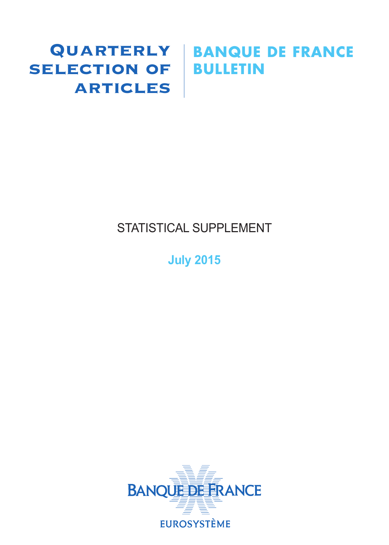# SELECTION OF BULLETIN **ARTICLES**

# Quarterly **BANQUE DE FRANCE**

# STATISTICAL SUPPLEMENT

# **July 2015**

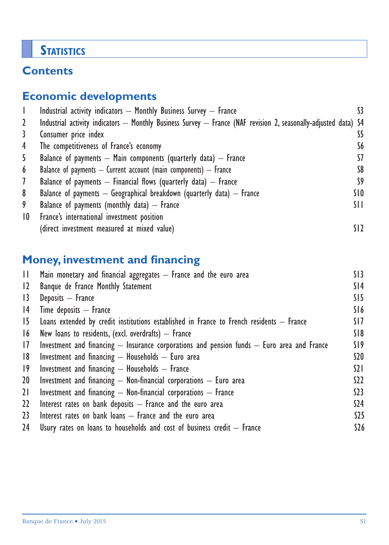# **STATISTICS**

# **Contents**

# **Economic developments**

|                 | Industrial activity indicators - Monthly Business Survey - France                                               |                 |
|-----------------|-----------------------------------------------------------------------------------------------------------------|-----------------|
| 2               | Industrial activity indicators — Monthly Business Survey — France (NAF revision 2, seasonally-adjusted data) S4 |                 |
| 3               | Consumer price index                                                                                            | S5              |
| 4               | The competitiveness of France's economy                                                                         | S6              |
| 5               | Balance of payments $-$ Main components (quarterly data) $-$ France                                             | 57              |
| 6               | Balance of payments $-$ Current account (main components) $-$ France                                            | S8              |
| $\mathcal{I}$   | Balance of payments $-$ Financial flows (quarterly data) $-$ France                                             | S9              |
| 8               | Balance of payments $-$ Geographical breakdown (quarterly data) $-$ France                                      | SIO             |
| 9               | Balance of payments (monthly data) $-$ France                                                                   | SH.             |
| $\overline{10}$ | France's international investment position                                                                      |                 |
|                 | (direct investment measured at mixed value)                                                                     | SI <sub>2</sub> |

# **Money, investment and financing**

| H.          | Main monetary and financial aggregates - France and the euro area                              | SI3             |
|-------------|------------------------------------------------------------------------------------------------|-----------------|
| 12          | Banque de France Monthly Statement                                                             | S <sub>14</sub> |
| 13          | Deposits - France                                                                              | SI5             |
| 4           | $Time$ deposits $-$ France                                                                     | S16             |
| 15          | Loans extended by credit institutions established in France to French residents $-$ France     | SI 7            |
| 16          | New loans to residents, (excl. overdrafts) $-$ France                                          | S18             |
| 17          | Investment and financing $-$ Insurance corporations and pension funds $-$ Euro area and France | S19             |
| 8           | Investment and financing $-$ Households $-$ Euro area                                          | \$20            |
| $ 9\rangle$ | Investment and financing $-$ Households $-$ France                                             | $\Omega$        |
| 20          | Investment and financing $-$ Non-financial corporations $-$ Euro area                          | S <sub>2</sub>  |
| 21          | Investment and financing $-$ Non-financial corporations $-$ France                             | 523             |
| $22 \,$     | Interest rates on bank deposits $-$ France and the euro area                                   | \$24            |
| 23          | Interest rates on bank loans $-$ France and the euro area                                      | $525$           |
| 24          | Usury rates on loans to households and cost of business credit $-$ France                      | \$26            |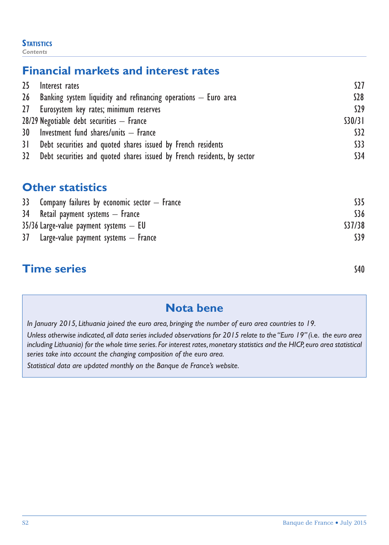#### **STATISTICS** *Contents*

# **Financial markets and interest rates**

| 25 | Interest rates                                                             | S27     |
|----|----------------------------------------------------------------------------|---------|
|    | 26 Banking system liquidity and refinancing operations $-$ Euro area       | \$28    |
|    | 27 Eurosystem key rates; minimum reserves                                  | S29     |
|    | $28/29$ Negotiable debt securities $-$ France                              | \$30/31 |
|    | 30 Investment fund shares/units - France                                   | \$32    |
|    | 31 Debt securities and quoted shares issued by French residents            | \$33    |
|    | 32 Debt securities and quoted shares issued by French residents, by sector | \$34    |

## **Other statistics**

| \$36   |
|--------|
| S37/38 |
| S39    |
|        |

# **Time series** S40

# **Nota bene**

*In January 2015, Lithuania joined the euro area, bringing the number of euro area countries to 19.*

*Unless otherwise indicated, all data series included observations for 2015 relate to the "Euro 19" (*i.e. *the euro area including Lithuania) for the whole time series. For interest rates, monetary statistics and the HICP, euro area statistical series take into account the changing composition of the euro area.*

*Statistical data are updated monthly on the Banque de France's website.*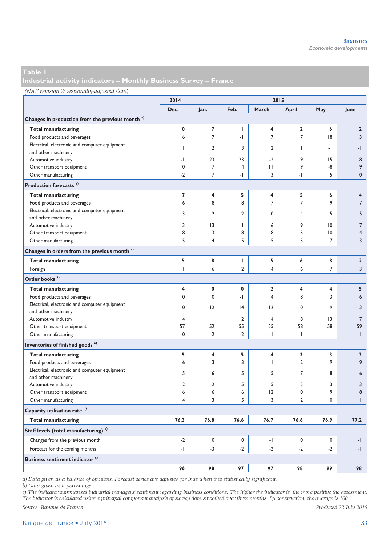**Industrial activity indicators – Monthly Business Survey – France** 

| (NAF revision 2; seasonally-adjusted data) |      |      |      |       |      |
|--------------------------------------------|------|------|------|-------|------|
|                                            | 2014 |      |      |       | 2015 |
|                                            | Dec. | lan. | Feb. | March |      |

|                                                             | Dec.           | Jan.           | Feb.           | March          | April                    | May             | June           |
|-------------------------------------------------------------|----------------|----------------|----------------|----------------|--------------------------|-----------------|----------------|
| Changes in production from the previous month <sup>a)</sup> |                |                |                |                |                          |                 |                |
| <b>Total manufacturing</b>                                  | 0              | 7              | т              | 4              | $\mathbf{2}$             | 6               | $\overline{2}$ |
| Food products and beverages                                 | 6              | $\overline{7}$ | -1             | 7              | $\overline{7}$           | 8               | 3              |
| Electrical, electronic and computer equipment               |                |                | 3              | $\overline{2}$ |                          |                 |                |
| and other machinery                                         | ı              | $\overline{2}$ |                |                | Т                        | $\cdot$         | $-1$           |
| Automotive industry                                         | -1             | 23             | 23             | $-2$           | 9                        | 15              | 18             |
| Other transport equipment                                   | $ 0\rangle$    | $\overline{7}$ | 4              | П              | 9                        | -8              | 9              |
| Other manufacturing                                         | $-2$           | $\overline{7}$ | -1             | 3              | $\overline{\phantom{0}}$ | 5               | $\mathbf{0}$   |
| Production forecasts <sup>a)</sup>                          |                |                |                |                |                          |                 |                |
| <b>Total manufacturing</b>                                  | 7              | 4              | 5              | 4              | 5                        | 6               | 4              |
| Food products and beverages                                 | 6              | 8              | 8              | $\overline{7}$ | $\overline{7}$           | 9               | $\overline{7}$ |
| Electrical, electronic and computer equipment               | 3              | $\overline{2}$ | $\overline{2}$ | 0              | $\overline{4}$           | 5               | 5              |
| and other machinery                                         |                |                |                |                |                          |                 |                |
| Automotive industry                                         | 3              | 3              | $\overline{1}$ | 6              | 9                        | $\overline{10}$ | $\overline{7}$ |
| Other transport equipment                                   | 8              | 3              | 8              | 8              | 5                        | $ 0\rangle$     | $\overline{4}$ |
| Other manufacturing                                         | 5              | 4              | 5              | 5              | 5                        | $\overline{7}$  | 3              |
| Changes in orders from the previous month <sup>a)</sup>     |                |                |                |                |                          |                 |                |
| <b>Total manufacturing</b>                                  | 5              | 8              | т              | 5              | 6                        | 8               | $\mathbf 2$    |
| Foreign                                                     | $\overline{1}$ | 6              | $\overline{2}$ | $\overline{4}$ | 6                        | $\overline{7}$  | $\overline{3}$ |
| Order books <sup>a)</sup>                                   |                |                |                |                |                          |                 |                |
| <b>Total manufacturing</b>                                  | 4              | 0              | $\mathbf{0}$   | $\mathbf{2}$   | 4                        | 4               | 5              |
| Food products and beverages                                 | 0              | $\Omega$       | -1             | 4              | 8                        | 3               | 6              |
| Electrical, electronic and computer equipment               | $-10$          | $-12$          | $-14$          | $-12$          | $-10$                    | $-9$            | $-13$          |
| and other machinery                                         |                |                |                |                |                          |                 |                |
| Automotive industry                                         | 4              | $\mathbf{I}$   | $\overline{2}$ | $\overline{4}$ | 8                        | 3               | 17             |
| Other transport equipment                                   | 57             | 52             | 55             | 55             | 58                       | 58              | 59             |
| Other manufacturing                                         | 0              | $-2$           | $-2$           | $\overline{a}$ | T                        | $\mathbf{I}$    | $\mathbf{I}$   |
| Inventories of finished goods <sup>a)</sup>                 |                |                |                |                |                          |                 |                |
| <b>Total manufacturing</b>                                  | 5              | 4              | 5              | 4              | 3                        | 3               | 3              |
| Food products and beverages                                 | 6              | 3              | 3              | -1             | $\overline{2}$           | 9               | 9              |
| Electrical, electronic and computer equipment               | 5              | 6              | 5              | 5              | $\overline{7}$           | 8               | 6              |
| and other machinery                                         |                |                |                |                |                          |                 |                |
| Automotive industry                                         | 2              | $-2$           | 5              | 5              | 5                        | 3               | 3              |
| Other transport equipment                                   | 6              | 6              | 6              | $ 2\rangle$    | $ 0\rangle$              | 9               | 8              |
| Other manufacturing                                         | 4              | 3              | 5              | 3              | $\overline{2}$           | 0               | $\overline{1}$ |
| Capacity utilisation rate <sup>b)</sup>                     |                |                |                |                |                          |                 |                |
| <b>Total manufacturing</b>                                  | 76.3           | 76.8           | 76.6           | 76.7           | 76.6                     | 76.9            | 77.2           |
| Staff levels (total manufacturing) <sup>a)</sup>            |                |                |                |                |                          |                 |                |
| Changes from the previous month                             | $-2$           | 0              | 0              | $\mathbf{L}$   | $\mathbf 0$              | 0               | $-1$           |
| Forecast for the coming months                              | $\cdot$        | $-3$           | $-2$           | $-2$           | $-2$                     | $-2$            | $-1$           |
| <b>Business sentiment indicator c)</b>                      |                |                |                |                |                          |                 |                |
|                                                             | 96             | 98             | 97             | 97             | 98                       | 99              | 98             |

*a) Data given as a balance of opinions. Forecast series are adjusted for bias when it is statistically significant.* 

*b) Data given as a percentage.* 

*c) The indicator summarises industrial managers' sentiment regarding business conditions. The higher the indicator is, the more positive the assessment. The indicator is calculated using a principal component analysis of survey data smoothed over three months. By construction, the average is 100.* 

*Source: Banque de France. Produced 22 July 2015*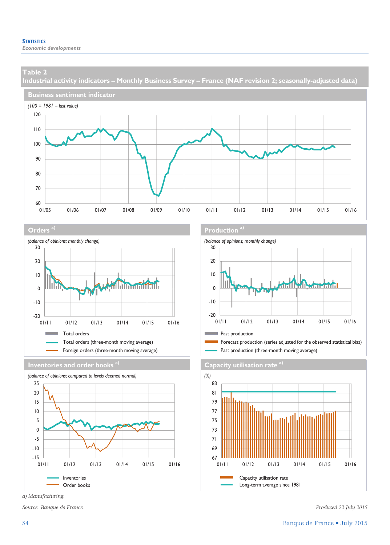**Industrial activity indicators – Monthly Business Survey – France (NAF revision 2; seasonally-adjusted data)** 











*a) Manufacturing.* 

*Source: Banque de France. Produced 22 July 2015* 

#### **Orders** a) **Production** and **Production** and **Production** a)



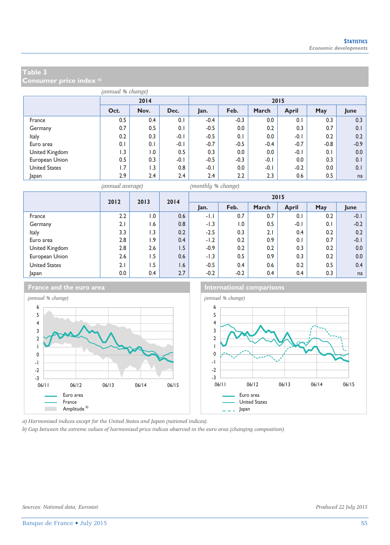**Consumer price index a)**

|                      | (annual % change) |      |        |        |         |        |              |        |        |  |
|----------------------|-------------------|------|--------|--------|---------|--------|--------------|--------|--------|--|
|                      |                   | 2014 |        | 2015   |         |        |              |        |        |  |
|                      | Oct.              | Nov. | Dec.   | Jan.   | Feb.    | March  | <b>April</b> | May    | June   |  |
| France               | 0.5               | 0.4  | 0.1    | $-0.4$ | $-0.3$  | 0.0    | 0.1          | 0.3    | 0.3    |  |
| Germany              | 0.7               | 0.5  | 0.1    | $-0.5$ | $0.0\,$ | 0.2    | 0.3          | 0.7    | 0.1    |  |
| Italy                | 0.2               | 0.3  | $-0.1$ | $-0.5$ | 0.1     | 0.0    | $-0.1$       | 0.2    | 0.2    |  |
| Euro area            | 0.1               | 0.1  | $-0.1$ | $-0.7$ | $-0.5$  | $-0.4$ | $-0.7$       | $-0.8$ | $-0.9$ |  |
| United Kingdom       | 1.3               | 1.0  | 0.5    | 0.3    | 0.0     | 0.0    | $-0.1$       | 0.1    | 0.0    |  |
| European Union       | 0.5               | 0.3  | $-0.1$ | $-0.5$ | $-0.3$  | $-0.1$ | 0.0          | 0.3    | 0.1    |  |
| <b>United States</b> | 1.7               | 1.3  | 0.8    | $-0.1$ | $0.0\,$ | $-0.1$ | $-0.2$       | 0.0    | 0.1    |  |
| Japan                | 2.9               | 2.4  | 2.4    | 2.4    | 2.2     | 2.3    | 0.6          | 0.5    | na     |  |

*(annual average) (monthly % change)*

|                      | 2012<br>2013 |     | 2014 |        |                  |       | 2015   |     |        |
|----------------------|--------------|-----|------|--------|------------------|-------|--------|-----|--------|
|                      |              |     |      | Jan.   | Feb.             | March | April  | May | June   |
| France               | 2.2          | 1.0 | 0.6  | -1.1   | 0.7              | 0.7   | 0.1    | 0.2 | $-0.1$ |
| Germany              | 2.1          | 1.6 | 0.8  | $-1.3$ | $\overline{0}$ . | 0.5   | $-0.1$ | 0.1 | $-0.2$ |
| Italy                | 3.3          | 1.3 | 0.2  | $-2.5$ | 0.3              | 2.1   | 0.4    | 0.2 | 0.2    |
| Euro area            | 2.8          | .9  | 0.4  | $-1.2$ | 0.2              | 0.9   | 0.1    | 0.7 | $-0.1$ |
| United Kingdom       | 2.8          | 2.6 | 1.5  | $-0.9$ | 0.2              | 0.2   | 0.3    | 0.2 | 0.0    |
| European Union       | 2.6          | 6.5 | 0.6  | $-1.3$ | 0.5              | 0.9   | 0.3    | 0.2 | 0.0    |
| <b>United States</b> | 2.1          | 1.5 | 1.6  | $-0.5$ | 0.4              | 0.6   | 0.2    | 0.5 | 0.4    |
| Japan                | 0.0          | 0.4 | 2.7  | $-0.2$ | $-0.2$           | 0.4   | 0.4    | 0.3 | na     |



**France and the euro area International comparisons** 



*a) Harmonised indices except for the United States and Japan (national indices).* 

*b) Gap between the extreme values of harmonised price indices observed in the euro area (changing composition).*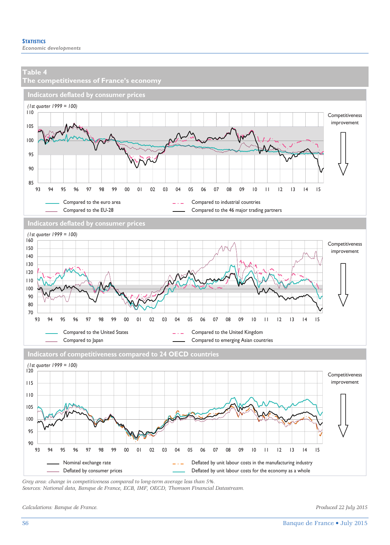

*Grey area: change in competitiveness compared to long-term average less than 5%.* 

*Sources: National data, Banque de France, ECB, IMF, OECD, Thomson Financial Datastream.* 

*Calculations: Banque de France. Produced 22 July 2015*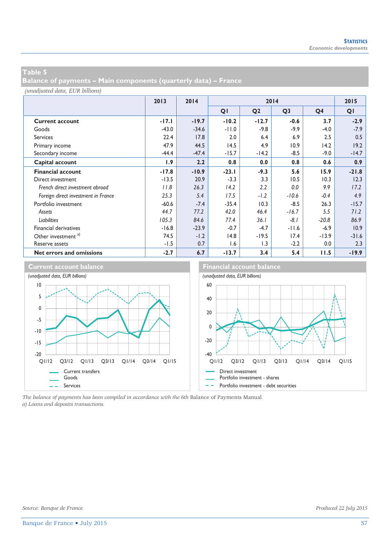**Balance of payments – Main components (quarterly data) – France** 

*(unadjusted data, EUR billions)*

|                                     | 2013    | 2014    | 2014           |                |                |                | 2015              |
|-------------------------------------|---------|---------|----------------|----------------|----------------|----------------|-------------------|
|                                     |         |         | Q <sub>1</sub> | Q <sub>2</sub> | Q <sub>3</sub> | Q <sub>4</sub> | QI                |
| <b>Current account</b>              | -17.1   | $-19.7$ | $-10.2$        | $-12.7$        | $-0.6$         | 3.7            | $-2.9$            |
| Goods                               | $-43.0$ | $-34.6$ | $-11.0$        | $-9.8$         | $-9.9$         | $-4.0$         | $-7.9$            |
| <b>Services</b>                     | 22.4    | 17.8    | 2.0            | 6.4            | 6.9            | 2.5            | 0.5               |
| Primary income                      | 47.9    | 44.5    | 14.5           | 4.9            | 10.9           | 14.2           | 19.2              |
| Secondary income                    | $-44.4$ | $-47.4$ | $-15.7$        | $-14.2$        | $-8.5$         | $-9.0$         | $-14.7$           |
| Capital account                     | 1.9     | 2.2     | 0.8            | 0.0            | 0.8            | 0.6            | 0.9               |
| <b>Financial account</b>            | $-17.8$ | $-10.9$ | $-23.1$        | $-9.3$         | 5.6            | 15.9           | $-21.8$           |
| Direct investment                   | $-13.5$ | 20.9    | $-3.3$         | 3.3            | 10.5           | 10.3           | 12.3              |
| French direct investment abroad     | 11.8    | 26.3    | 14.2           | 2.2            | 0.0            | 9.9            | 17.2              |
| Foreign direct investment in France | 25.3    | 5.4     | 17.5           | $-1.2$         | $-10.6$        | $-0.4$         | 4.9               |
| Portfolio investment                | $-60.6$ | $-7.4$  | $-35.4$        | 10.3           | $-8.5$         | 26.3           | $-15.7$           |
| Assets                              | 44.7    | 77.2    | 42.0           | 46.4           | $-16.7$        | 5.5            | 71.2              |
| <b>Liabilities</b>                  | 105.3   | 84.6    | 77.4           | 36.1           | $-8.1$         | $-20.8$        | 86.9              |
| <b>Financial derivatives</b>        | $-16.8$ | $-23.9$ | $-0.7$         | $-4.7$         | $-11.6$        | $-6.9$         | 10.9 <sub>1</sub> |
| Other investment <sup>a)</sup>      | 74.5    | $-1.2$  | 14.8           | $-19.5$        | 17.4           | $-13.9$        | $-31.6$           |
| Reserve assets                      | $-1.5$  | 0.7     | 1.6            | 1.3            | $-2.2$         | 0.0            | 2.3               |
| Net errors and omissions            | $-2.7$  | 6.7     | $-13.7$        | 3.4            | 5.4            | 11.5           | $-19.9$           |



*The balance of payments has been compiled in accordance with the 6th* Balance of Payments Manual*. a) Loans and deposits transactions.*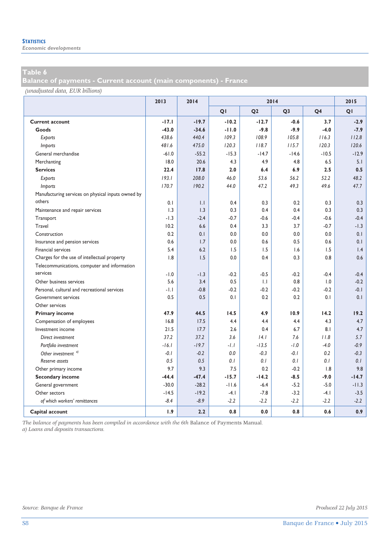*Economic developments* 

**Balance of payments - Current account (main components) - France** 

*(unadjusted data, EUR billions)*

|                                                    | 2013    | 2014         | 2014    |                |                |                | 2015            |
|----------------------------------------------------|---------|--------------|---------|----------------|----------------|----------------|-----------------|
|                                                    |         |              | QI      | Q <sub>2</sub> | Q <sub>3</sub> | Q <sub>4</sub> | QI              |
| <b>Current account</b>                             | $-17.1$ | $-19.7$      | $-10.2$ | $-12.7$        | $-0.6$         | 3.7            | $-2.9$          |
| Goods                                              | $-43.0$ | $-34.6$      | $-11.0$ | $-9.8$         | $-9.9$         | $-4.0$         | $-7.9$          |
| Exports                                            | 438.6   | 440.4        | 109.3   | 108.9          | 105.8          | 116.3          | 112.8           |
| Imports                                            | 481.6   | 475.0        | 120.3   | 118.7          | 115.7          | 120.3          | 120.6           |
| General merchandise                                | $-61.0$ | $-55.2$      | $-15.3$ | $-14.7$        | $-14.6$        | $-10.5$        | $-12.9$         |
| Merchanting                                        | 18.0    | 20.6         | 4.3     | 4.9            | 4.8            | 6.5            | 5.1             |
| <b>Services</b>                                    | 22.4    | 17.8         | 2.0     | 6.4            | 6.9            | 2.5            | 0.5             |
| Exports                                            | 193.1   | 208.0        | 46.0    | 53.6           | 56.2           | 52.2           | 48.2            |
| <i>Imports</i>                                     | 170.7   | 190.2        | 44.0    | 47.2           | 49.3           | 49.6           | 47.7            |
| Manufacturing services on physical inputs owned by |         |              |         |                |                |                |                 |
| others                                             | 0.1     | $\mathsf{L}$ | 0.4     | 0.3            | 0.2            | 0.3            | 0.3             |
| Maintenance and repair services                    | 1.3     | 1.3          | 0.3     | 0.4            | 0.4            | 0.3            | 0.3             |
| Transport                                          | $-1.3$  | $-2.4$       | $-0.7$  | $-0.6$         | $-0.4$         | $-0.6$         | $-0.4$          |
| Travel                                             | 10.2    | 6.6          | 0.4     | 3.3            | 3.7            | $-0.7$         | $-1.3$          |
| Construction                                       | 0.2     | 0.1          | 0.0     | 0.0            | 0.0            | 0.0            | 0.1             |
| Insurance and pension services                     | 0.6     | 1.7          | 0.0     | 0.6            | 0.5            | 0.6            | 0.1             |
| Financial services                                 | 5.4     | 6.2          | 1.5     | 1.5            | 1.6            | 1.5            | $\mathsf{I}$ .4 |
| Charges for the use of intellectual property       | 1.8     | 1.5          | 0.0     | 0.4            | 0.3            | 0.8            | 0.6             |
| Telecommunications, computer and information       |         |              |         |                |                |                |                 |
| services                                           | $-1.0$  | $-1.3$       | $-0.2$  | $-0.5$         | $-0.2$         | $-0.4$         | $-0.4$          |
| Other business services                            | 5.6     | 3.4          | 0.5     | $\mathsf{L}$   | 0.8            | 1.0            | $-0.2$          |
| Personal, cultural and recreational services       | -1.1    | $-0.8$       | $-0.2$  | $-0.2$         | $-0.2$         | $-0.2$         | $-0.1$          |
| <b>Government services</b>                         | 0.5     | 0.5          | 0.1     | 0.2            | 0.2            | 0.1            | 0.1             |
| Other services                                     |         |              |         |                |                |                |                 |
| <b>Primary income</b>                              | 47.9    | 44.5         | 14.5    | 4.9            | 10.9           | 14.2           | 19.2            |
| Compensation of employees                          | 16.8    | 17.5         | 4.4     | 4.4            | 4.4            | 4.3            | 4.7             |
| Investment income                                  | 21.5    | 17.7         | 2.6     | 0.4            | 6.7            | 8.1            | 4.7             |
| Direct investment                                  | 37.2    | 37.2         | 3.6     | 4.1            | 7.6            | 11.8           | 5.7             |
| Portfolio investment                               | $-16.1$ | $-19.7$      | $-1.1$  | $-13.5$        | $-1.0$         | $-4.0$         | $-0.9$          |
| Other investment <sup>a)</sup>                     | $-0.1$  | $-0.2$       | 0.0     | $-0.3$         | $-0.1$         | 0.2            | $-0.3$          |
| Reserve assets                                     | 0.5     | 0.5          | 0.1     | 0.1            | 0.1            | 0.1            | 0.1             |
| Other primary income                               | 9.7     | 9.3          | 7.5     | 0.2            | $-0.2$         | 1.8            | 9.8             |
| <b>Secondary income</b>                            | $-44.4$ | $-47.4$      | $-15.7$ | $-14.2$        | $-8.5$         | $-9.0$         | $-14.7$         |
| General government                                 | $-30.0$ | $-28.2$      | $-11.6$ | $-6.4$         | $-5.2$         | $-5.0$         | $-11.3$         |
| Other sectors                                      | $-14.5$ | $-19.2$      | $-4.1$  | $-7.8$         | $-3.2$         | $-4.1$         | $-3.5$          |
| of which workers' remittances                      | $-8.4$  | $-8.9$       | $-2.2$  | $-2.2$         | $-2.2$         | $-2.2$         | $-2.2$          |
| Capital account                                    | 1.9     | 2.2          | 0.8     | 0.0            | 0.8            | 0.6            | 0.9             |

*The balance of payments has been compiled in accordance with the 6th* Balance of Payments Manual*. a) Loans and deposits transactions.*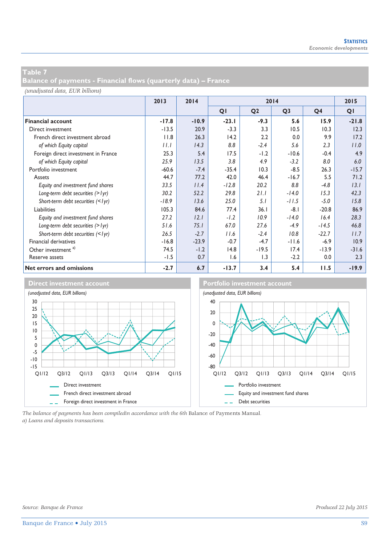**Balance of payments - Financial flows (quarterly data) – France** 

#### *(unadjusted data, EUR billions)*

|                                     | 2013    | 2014    | 2014    |                |                |         | 2015    |
|-------------------------------------|---------|---------|---------|----------------|----------------|---------|---------|
|                                     |         |         | QI      | Q <sub>2</sub> | Q <sub>3</sub> | Q4      | QI      |
| <b>Financial account</b>            | $-17.8$ | $-10.9$ | $-23.1$ | $-9.3$         | 5.6            | 15.9    | $-21.8$ |
| Direct investment                   | $-13.5$ | 20.9    | $-3.3$  | 3.3            | 10.5           | 10.3    | 12.3    |
| French direct investment abroad     | 11.8    | 26.3    | 14.2    | 2.2            | 0.0            | 9.9     | 17.2    |
| of which Equity capital             | II.I    | 14.3    | 8.8     | $-2.4$         | 5.6            | 2.3     | 11.0    |
| Foreign direct investment in France | 25.3    | 5.4     | 17.5    | $-1.2$         | $-10.6$        | $-0.4$  | 4.9     |
| of which Equity capital             | 25.9    | 13.5    | 3.8     | 4.9            | $-3.2$         | 8.0     | 6.0     |
| Portfolio investment                | $-60.6$ | $-7.4$  | $-35.4$ | 10.3           | $-8.5$         | 26.3    | $-15.7$ |
| Assets                              | 44.7    | 77.2    | 42.0    | 46.4           | $-16.7$        | 5.5     | 71.2    |
| Equity and investment fund shares   | 33.5    | 11.4    | $-12.8$ | 20.2           | 8.8            | $-4.8$  | 13.1    |
| Long-term debt securities (> lyr)   | 30.2    | 52.2    | 29.8    | 21.1           | $-14.0$        | 15.3    | 42.3    |
| Short-term debt securities (< lyr)  | $-18.9$ | 13.6    | 25.0    | 5.1            | $-11.5$        | $-5.0$  | 15.8    |
| Liabilities                         | 105.3   | 84.6    | 77.4    | 36.1           | $-8.1$         | $-20.8$ | 86.9    |
| Equity and investment fund shares   | 27.2    | 12.1    | $-1.2$  | 10.9           | $-14.0$        | 16.4    | 28.3    |
| Long-term debt securities (> lyr)   | 51.6    | 75.1    | 67.0    | 27.6           | $-4.9$         | $-14.5$ | 46.8    |
| Short-term debt securities (< lyr)  | 26.5    | $-2.7$  | 11.6    | $-2.4$         | 10.8           | $-22.7$ | 11.7    |
| <b>Financial derivatives</b>        | $-16.8$ | $-23.9$ | $-0.7$  | $-4.7$         | $-11.6$        | $-6.9$  | 10.9    |
| Other investment <sup>a)</sup>      | 74.5    | $-1.2$  | 14.8    | $-19.5$        | 17.4           | $-13.9$ | $-31.6$ |
| Reserve assets                      | $-1.5$  | 0.7     | 1.6     | 1.3            | $-2.2$         | 0.0     | 2.3     |
| Net errors and omissions            | $-2.7$  | 6.7     | $-13.7$ | 3.4            | 5.4            | 11.5    | $-19.9$ |



*The balance of payments has been compiledin accordance with the 6th* Balance of Payments Manual*. a) Loans and deposits transactions.*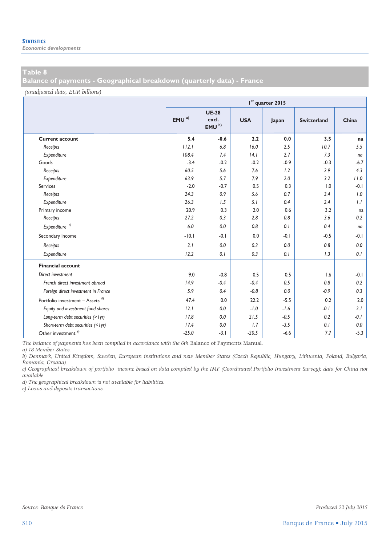**Balance of payments - Geographical breakdown (quarterly data) - France** 

*(unadjusted data, EUR billions)*

|                                             |                  | I <sup>st</sup> quarter 2015               |            |        |                    |         |  |  |  |  |  |
|---------------------------------------------|------------------|--------------------------------------------|------------|--------|--------------------|---------|--|--|--|--|--|
|                                             | EMU <sup>a</sup> | <b>UE-28</b><br>excl.<br>EMU <sup>b)</sup> | <b>USA</b> | Japan  | <b>Switzerland</b> | China   |  |  |  |  |  |
| <b>Current account</b>                      | 5.4              | $-0.6$                                     | 2.2        | 0.0    | 3.5                | na      |  |  |  |  |  |
| Receipts                                    | 112.1            | 6.8                                        | 16.0       | 2.5    | 10.7               | 5.5     |  |  |  |  |  |
| Expenditure                                 | 108.4            | 7.4                                        | 14.1       | 2.7    | 7.3                | na      |  |  |  |  |  |
| Goods                                       | $-3.4$           | $-0.2$                                     | $-0.2$     | $-0.9$ | $-0.3$             | $-6.7$  |  |  |  |  |  |
| Receipts                                    | 60.5             | 5.6                                        | 7.6        | 1.2    | 2.9                | 4.3     |  |  |  |  |  |
| Expenditure                                 | 63.9             | 5.7                                        | 7.9        | 2.0    | 3.2                | 11.0    |  |  |  |  |  |
| Services                                    | $-2.0$           | $-0.7$                                     | 0.5        | 0.3    | 1.0                | $-0.1$  |  |  |  |  |  |
| Receipts                                    | 24.3             | 0.9                                        | 5.6        | 0.7    | 3.4                | 1.0     |  |  |  |  |  |
| Expenditure                                 | 26.3             | 1.5                                        | 5.1        | 0.4    | 2.4                | 1.1     |  |  |  |  |  |
| Primary income                              | 20.9             | 0.3                                        | 2.0        | 0.6    | 3.2                | na      |  |  |  |  |  |
| Receipts                                    | 27.2             | 0.3                                        | 2.8        | 0.8    | 3.6                | 0.2     |  |  |  |  |  |
| Expenditure <sup>c)</sup>                   | 6.0              | 0.0                                        | 0.8        | 0.1    | 0.4                | na      |  |  |  |  |  |
| Secondary income                            | $-10.1$          | $-0.1$                                     | 0.0        | $-0.1$ | $-0.5$             | -0.1    |  |  |  |  |  |
| Receipts                                    | 2.1              | 0.0                                        | 0.3        | 0.0    | 0.8                | 0.0     |  |  |  |  |  |
| Expenditure                                 | 12.2             | 0.1                                        | 0.3        | 0.1    | 1.3                | 0.1     |  |  |  |  |  |
| <b>Financial account</b>                    |                  |                                            |            |        |                    |         |  |  |  |  |  |
| Direct investment                           | 9.0              | $-0.8$                                     | 0.5        | 0.5    | 1.6                | $-0.1$  |  |  |  |  |  |
| French direct investment abroad             | 14.9             | $-0.4$                                     | $-0.4$     | 0.5    | 0.8                | 0.2     |  |  |  |  |  |
| Foreign direct investment in France         | 5.9              | 0.4                                        | $-0.8$     | 0.0    | $-0.9$             | 0.3     |  |  |  |  |  |
| Portfolio investment - Assets <sup>d)</sup> | 47.4             | 0.0                                        | 22.2       | $-5.5$ | 0.2                | 2.0     |  |  |  |  |  |
| Equity and investment fund shares           | 12.1             | 0.0                                        | $-1.0$     | $-1.6$ | $-0.1$             | 2.1     |  |  |  |  |  |
| Long-term debt securities (> lyr)           | 17.8             | 0.0                                        | 21.5       | $-0.5$ | 0.2                | $-0.1$  |  |  |  |  |  |
| Short-term debt securities (<1yr)           | 17.4             | 0.0                                        | 1.7        | $-3.5$ | 0.1                | $0.0\,$ |  |  |  |  |  |
| Other investment $e$ )                      | $-25.0$          | $-3.1$                                     | $-20.5$    | $-6.6$ | 7.7                | $-5.3$  |  |  |  |  |  |

*The balance of payments has been compiled in accordance with the 6th* Balance of Payments Manual*.* 

*a) 18 Member States.* 

*b) Denmark, United Kingdom, Sweden, European institutions and new Member States (Czech Republic, Hungary, Lithuania, Poland, Bulgaria, Romania, Croatia).* 

*c) Geographical breakdown of portfolio income based on data compiled by the IMF (Coordinated Portfolio Investment Survey); data for China not available.* 

*d) The geographical breakdown is not available for liabilities.* 

*e) Loans and deposits transactions.*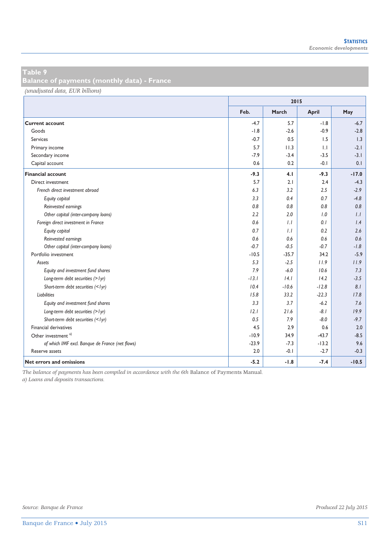**Balance of payments (monthly data) - France** 

*(unadjusted data, EUR billions)*

|                                                 | 2015    |         |              |         |  |  |  |
|-------------------------------------------------|---------|---------|--------------|---------|--|--|--|
|                                                 | Feb.    | March   | April        | May     |  |  |  |
| <b>Current account</b>                          | $-4.7$  | 5.7     | $-1.8$       | $-6.7$  |  |  |  |
| Goods                                           | $-1.8$  | $-2.6$  | $-0.9$       | $-2.8$  |  |  |  |
| Services                                        | $-0.7$  | 0.5     | 1.5          | 1.3     |  |  |  |
| Primary income                                  | 5.7     | 11.3    | $\mathbf{L}$ | $-2.1$  |  |  |  |
| Secondary income                                | $-7.9$  | $-3.4$  | $-3.5$       | $-3.1$  |  |  |  |
| Capital account                                 | 0.6     | 0.2     | $-0.1$       | 0.1     |  |  |  |
| <b>Financial account</b>                        | $-9.3$  | 4.1     | $-9.3$       | $-17.0$ |  |  |  |
| Direct investment                               | 5.7     | 2.1     | 2.4          | $-4.3$  |  |  |  |
| French direct investment abroad                 | 6.3     | 3.2     | 2.5          | $-2.9$  |  |  |  |
| Equity capital                                  | 3.3     | 0.4     | 0.7          | $-4.8$  |  |  |  |
| Reinvested earnings                             | 0.8     | 0.8     | 0.8          | 0.8     |  |  |  |
| Other capital (inter-company loans)             | 2.2     | 2.0     | 1.0          | 1.1     |  |  |  |
| Foreign direct investment in France             | 0.6     | 1.1     | 0.1          | 1.4     |  |  |  |
| Equity capital                                  | 0.7     | 1.1     | 0.2          | 2.6     |  |  |  |
| Reinvested earnings                             | 0.6     | 0.6     | 0.6          | 0.6     |  |  |  |
| Other capital (inter-company loans)             | $-0.7$  | $-0.5$  | $-0.7$       | $-1.8$  |  |  |  |
| Portfolio investment                            | $-10.5$ | $-35.7$ | 34.2         | $-5.9$  |  |  |  |
| Assets                                          | 5.3     | $-2.5$  | 11.9         | 11.9    |  |  |  |
| Equity and investment fund shares               | 7.9     | $-6.0$  | 10.6         | 7.3     |  |  |  |
| Long-term debt securities (> lyr)               | $-13.1$ | 14.1    | 14.2         | $-3.5$  |  |  |  |
| Short-term debt securities (<1yr)               | 10.4    | $-10.6$ | $-12.8$      | 8.1     |  |  |  |
| Liabilities                                     | 15.8    | 33.2    | $-22.3$      | 17.8    |  |  |  |
| Equity and investment fund shares               | 3.3     | 3.7     | $-6.2$       | 7.6     |  |  |  |
| Long-term debt securities (> lyr)               | 12.1    | 21.6    | $-8.1$       | 19.9    |  |  |  |
| Short-term debt securities (<1yr)               | 0.5     | 7.9     | $-8.0$       | $-9.7$  |  |  |  |
| Financial derivatives                           | 4.5     | 2.9     | 0.6          | 2.0     |  |  |  |
| Other investment <sup>a)</sup>                  | $-10.9$ | 34.9    | $-43.7$      | $-8.5$  |  |  |  |
| of which IMF excl. Banque de France (net flows) | $-23.9$ | $-7.3$  | $-13.2$      | 9.6     |  |  |  |
| Reserve assets                                  | 2.0     | $-0.1$  | $-2.7$       | $-0.3$  |  |  |  |
| <b>Net errors and omissions</b>                 | $-5.2$  | $-1.8$  | $-7.4$       | $-10.5$ |  |  |  |

*The balance of payments has been compiled in accordance with the 6th* Balance of Payments Manual*.* 

*a) Loans and deposits transactions.*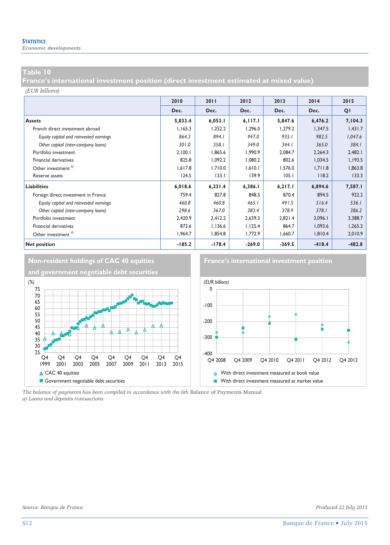*Economic developments* 

#### **Table 10**

**France's international investment position (direct investment estimated at mixed value)** 

#### *(EUR billions)*

|                                        | 2010     | 2011     | 2012     | 2013     | 2014     | 2015     |
|----------------------------------------|----------|----------|----------|----------|----------|----------|
|                                        | Dec.     | Dec.     | Dec.     | Dec.     | Dec.     | QI       |
| <b>Assets</b>                          | 5,833.4  | 6,053.1  | 6, 117.1 | 5,847.6  | 6,476.2  | 7,104.3  |
| French direct investment abroad        | 1,165.3  | 1,252.2  | 1,296.0  | 1.279.2  | 1,347.5  | 1,431.7  |
| Equity capital and reinvested earnings | 864.3    | 894.1    | 947.0    | 935.1    | 982.5    | 1,047.6  |
| Other capital (inter-company loans)    | 301.0    | 358.1    | 349.0    | 344.1    | 365.0    | 384.1    |
| Portfolio investment                   | 2,100.1  | 1,865.6  | 1,990.9  | 2,084.7  | 2,264.3  | 2,482.1  |
| Financial derivatives                  | 825.8    | 1,092.2  | 1,080.2  | 802.6    | 1,034.5  | 1,193.5  |
| Other investment <sup>a)</sup>         | 1,617.8  | 1,710.0  | 1,610.1  | 1,576.0  | 1,711.8  | 1,863.8  |
| Reserve assets                         | 124.5    | 133.1    | 139.9    | 105.1    | 118.2    | 133.3    |
| Liabilities                            | 6,018.6  | 6,231.4  | 6,386.1  | 6,217.1  | 6,894.6  | 7,587.1  |
| Foreign direct investment in France    | 759.4    | 827.8    | 848.5    | 870.4    | 894.5    | 922.2    |
| Equity capital and reinvested earnings | 460.8    | 460.8    | 465.1    | 491.5    | 516.4    | 536.1    |
| Other capital (inter-company loans)    | 298.6    | 367.0    | 383.4    | 378.9    | 378.1    | 386.2    |
| Portfolio investment                   | 2,420.9  | 2,412.2  | 2,639.3  | 2,821.4  | 3,096.1  | 3,388.7  |
| Financial derivatives                  | 873.6    | 1,136.6  | 1,125.4  | 864.7    | 1,093.6  | 1,265.2  |
| Other investment <sup>a)</sup>         | 1,964.7  | 1,854.8  | 1,772.9  | 1,660.7  | 1,810.4  | 2,010.9  |
| <b>Net position</b>                    | $-185.2$ | $-178.4$ | $-269.0$ | $-369.5$ | $-418.4$ | $-482.8$ |



*The balance of payments has been compiled in accordance with the 6th* Balance of Payments Manual*. a) Loans and deposits transactions.*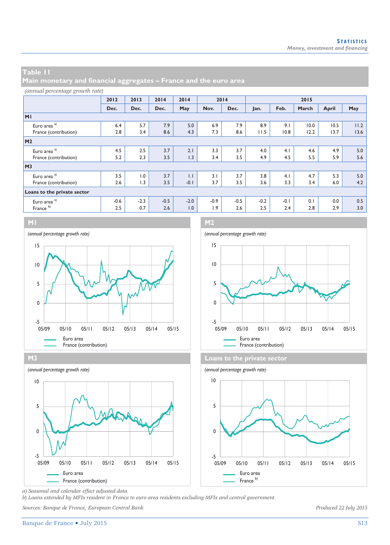**Main monetary and financial aggregates – France and the euro area** 

#### *(annual percentage growth rate)*

|                             | 2012   | 2013   | 2014   | 2014             |        | 2014   | 2015   |        |       |       |      |
|-----------------------------|--------|--------|--------|------------------|--------|--------|--------|--------|-------|-------|------|
|                             | Dec.   | Dec.   | Dec.   | May              | Nov.   | Dec.   | Jan.   | Feb.   | March | April | May  |
| MI                          |        |        |        |                  |        |        |        |        |       |       |      |
| Euro area <sup>a)</sup>     | 6.4    | 5.7    | 7.9    | 5.0              | 6.9    | 7.9    | 8.9    | 9.1    | 10.0  | 10.5  | 11.2 |
| France (contribution)       | 2.8    | 3.4    | 8.6    | 4.3              | 7.3    | 8.6    | 11.5   | 10.8   | 12.2  | 13.7  | 13.6 |
| <b>M2</b>                   |        |        |        |                  |        |        |        |        |       |       |      |
| Euro area <sup>a)</sup>     | 4.5    | 2.5    | 3.7    | 2.1              | 3.3    | 3.7    | 4.0    | 4.1    | 4.6   | 4.9   | 5.0  |
| France (contribution)       | 5.2    | 2.3    | 3.5    | 1.3              | 3.4    | 3.5    | 4.9    | 4.5    | 5.5   | 5.9   | 5.6  |
| M <sub>3</sub>              |        |        |        |                  |        |        |        |        |       |       |      |
| Euro area <sup>a)</sup>     | 3.5    | 1.0    | 3.7    | $\overline{1}$ . | 3.1    | 3.7    | 3.8    | 4.1    | 4.7   | 5.3   | 5.0  |
| France (contribution)       | 2.6    | 1.3    | 3.5    | $-0.1$           | 3.7    | 3.5    | 3.6    | 3.3    | 3.4   | 6.0   | 4.2  |
| Loans to the private sector |        |        |        |                  |        |        |        |        |       |       |      |
| Euro area <sup>a)</sup>     | $-0.6$ | $-2.3$ | $-0.5$ | $-2.0$           | $-0.9$ | $-0.5$ | $-0.2$ | $-0.1$ | 0.1   | 0.0   | 0.5  |
| France <sup>b)</sup>        | 2.5    | 0.7    | 2.6    | 1.0              | 1.9    | 2.6    | 2.5    | 2.4    | 2.8   | 2.9   | 3.0  |













*a) Seasonal and calendar effect adjusted data.* 

*b) Loans extended by MFIs resident in France to euro area residents excluding MFIs and central government.* 

*Sources: Banque de France, European Central Bank. Produced 22 July 2015*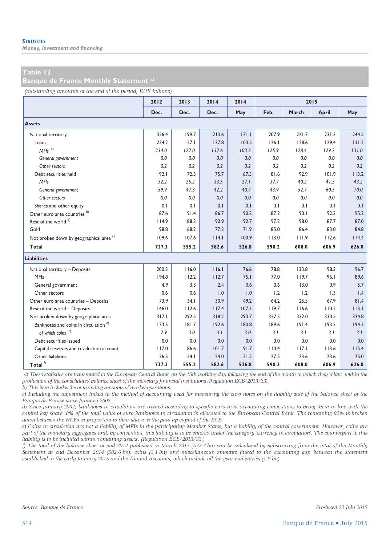*Money, investment and financing* 

#### **Table 12**

**Banque de France Monthly Statement a)**

*(outstanding amounts at the end of the period, EUR billions)*

|                                                    | 2012  | 2013  | 2014  | 2014  |       | 2015  |              |       |
|----------------------------------------------------|-------|-------|-------|-------|-------|-------|--------------|-------|
|                                                    | Dec.  | Dec.  | Dec.  | May   | Feb.  | March | <b>April</b> | May   |
| <b>Assets</b>                                      |       |       |       |       |       |       |              |       |
| National territory                                 | 326.4 | 199.7 | 213.6 | 171.1 | 207.9 | 221.7 | 231.3        | 244.5 |
| Loans                                              | 234.2 | 127.1 | 137.8 | 103.5 | 126.1 | 128.6 | 129.4        | 131.2 |
| $MFls$ <sup>b)</sup>                               | 234.0 | 127.0 | 137.6 | 103.3 | 125.9 | 128.4 | 129.2        | 131.0 |
| General government                                 | 0.0   | 0.0   | 0.0   | 0.0   | 0.0   | 0.0   | 0.0          | 0.0   |
| Other sectors                                      | 0.2   | 0.2   | 0.2   | 0.2   | 0.2   | 0.2   | 0.2          | 0.2   |
| Debt securities held                               | 92.1  | 72.5  | 75.7  | 67.5  | 81.6  | 92.9  | 101.9        | 113.2 |
| <b>MFIs</b>                                        | 32.2  | 25.2  | 33.5  | 27.1  | 37.7  | 40.2  | 41.3         | 43.2  |
| General government                                 | 59.9  | 47.3  | 42.2  | 40.4  | 43.9  | 52.7  | 60.5         | 70.0  |
| Other sectors                                      | 0.0   | 0.0   | 0.0   | 0.0   | 0.0   | 0.0   | 0.0          | 0.0   |
| Shares and other equity                            | 0.1   | 0.1   | 0.1   | 0.1   | 0.1   | 0.1   | 0.1          | 0.1   |
| Other euro area countries <sup>b)</sup>            | 87.6  | 91.4  | 86.7  | 90.2  | 87.2  | 90.1  | 92.3         | 95.2  |
| Rest of the world b)                               | 114.9 | 88.3  | 90.9  | 92.7  | 97.2  | 98.0  | 87.7         | 87.0  |
| Gold                                               | 98.8  | 68.2  | 77.3  | 71.9  | 85.0  | 86.4  | 83.0         | 84.8  |
| Not broken down by geographical area <sup>c)</sup> | 109.6 | 107.6 | 114.1 | 100.9 | 113.0 | 111.9 | 112.6        | 114.4 |
| Total                                              | 737.3 | 555.2 | 582.6 | 526.8 | 590.2 | 608.0 | 606.9        | 626.0 |
| <b>Liabilities</b>                                 |       |       |       |       |       |       |              |       |
| National territory - Deposits                      | 200.3 | 116.0 | 116.1 | 76.6  | 78.8  | 133.8 | 98.3         | 96.7  |
| <b>MFIs</b>                                        | 194.8 | 112.2 | 112.7 | 75.1  | 77.0  | 119.7 | 96.1         | 89.6  |
| General government                                 | 4.9   | 3.3   | 2.4   | 0.6   | 0.6   | 13.0  | 0.9          | 5.7   |
| Other sectors                                      | 0.6   | 0.6   | 1.0   | 1.0   | 1.2   | 1.2   | 1.3          | 1.4   |
| Other euro area countries - Deposits               | 73.9  | 34.1  | 30.9  | 49.2  | 64.2  | 25.5  | 67.9         | 81.4  |
| Rest of the world - Deposits                       | 146.0 | 112.6 | 117.4 | 107.3 | 119.7 | 116.6 | 110.2        | 113.1 |
| Not broken down by geographical area               | 317.1 | 292.5 | 318.2 | 293.7 | 327.5 | 332.0 | 330.5        | 334.8 |
| Banknotes and coins in circulation <sup>d)</sup>   | 173.5 | 181.7 | 192.6 | 180.8 | 189.6 | 191.4 | 193.3        | 194.3 |
| of which coins <sup>e)</sup>                       | 2.9   | 3.0   | 3.1   | 3.0   | 3.1   | 3.1   | 3.1          | 3.1   |
| Debt securities issued                             | 0.0   | 0.0   | 0.0   | 0.0   | 0.0   | 0.0   | 0.0          | 0.0   |
| Capital reserves and revaluation account           | 117.0 | 86.6  | 101.7 | 91.7  | 110.4 | 117.1 | 113.6        | 115.4 |
| Other liabilities                                  | 26.5  | 24.1  | 24.0  | 21.2  | 27.5  | 23.6  | 23.6         | 25.0  |
| Total $^{\rm f)}$                                  | 737.3 | 555.2 | 582.6 | 526.8 | 590.2 | 608.0 | 606.9        | 626.0 |

 *a) These statistics are transmitted to the European Central Bank, on the 15th working day following the end of the month to which they relate, within the production of the consolidated balance sheet of the monetary financial institutions (Regulation ECB/2013/33).* 

*b) This item includes the outstanding amounts of market operations.* 

*c) Including the adjustment linked to the method of accounting used for measuring the euro notes on the liability side of the balance sheet of the Banque de France since January 2002.* 

*d) Since January 2002, banknotes in circulation are treated according to specific euro area accounting conventions to bring them in line with the capital key share. 8% of the total value of euro banknotes in circulation is allocated to the European Central Bank. The remaining 92% is broken down between the NCBs in proportion to their share in the paid-up capital of the ECB.* 

*e) Coins in circulation are not a liability of MFIs in the participating Member States, but a liability of the central government. However, coins are part of the monetary aggregates and, by convention, this liability is to be entered under the category 'currency in circulation'. The counterpart to this liability is to be included within 'remaining assets'. (Regulation ECB/2013/33.)* 

*f) The total of the balance sheet at end 2014 published in March 2015 (577.7 bn) can be calculated by substracting from the total of the Monthly Statement at end December 2014 (582.6 bn): coins (3,1 bn) and miscellaneous amounts linked to the accounting gap between the statement established in the early January 2015 and the Annual Accounts, which include all the year-end entries (1.8 bn).*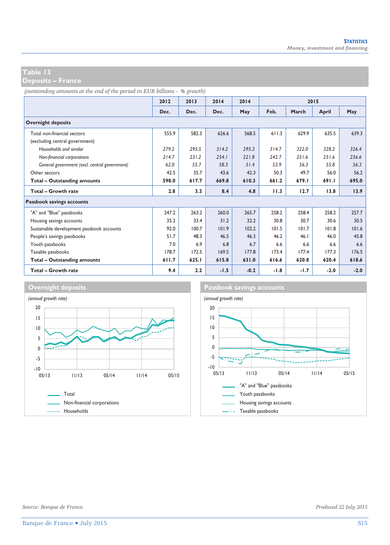**Deposits – France** 

*(outstanding amounts at the end of the period in EUR billions – % growth)*

|                                               | 2012  | 2013  | 2014   | 2014   | 2015   |        |        |        |
|-----------------------------------------------|-------|-------|--------|--------|--------|--------|--------|--------|
|                                               | Dec.  | Dec.  | Dec.   | May    | Feb.   | March  | April  | May    |
| <b>Overnight deposits</b>                     |       |       |        |        |        |        |        |        |
| Total non-financial sectors                   | 555.9 | 582.3 | 626.6  | 568.5  | 611.3  | 629.9  | 635.5  | 639.3  |
| (excluding central government)                |       |       |        |        |        |        |        |        |
| Households and similar                        | 279.2 | 295.5 | 314.2  | 295.3  | 314.7  | 322.0  | 328.2  | 326.4  |
| Non-financial corporations                    | 214.7 | 231.2 | 254.1  | 221.8  | 242.7  | 251.6  | 251.6  | 256.6  |
| General government (excl. central government) | 62.0  | 55.7  | 58.3   | 51.4   | 53.9   | 56.3   | 55.8   | 56.3   |
| Other sectors                                 | 42.5  | 35.7  | 43.6   | 42.3   | 50.3   | 49.7   | 56.0   | 56.2   |
| Total - Outstanding amounts                   | 598.0 | 617.7 | 669.8  | 610.3  | 661.2  | 679.1  | 691.I  | 695.0  |
| Total - Growth rate                           | 2.8   | 3.3   | 8.4    | 4.8    | 11.3   | 12.7   | 13.8   | 13.9   |
| Passbook savings accounts                     |       |       |        |        |        |        |        |        |
| "A" and "Blue" passbooks                      | 247.2 | 263.2 | 260.0  | 265.7  | 258.2  | 258.4  | 258.2  | 257.7  |
| Housing savings accounts                      | 35.2  | 33.4  | 31.2   | 32.2   | 30.8   | 30.7   | 30.6   | 30.5   |
| Sustainable development passbook accounts     | 92.0  | 100.7 | 101.9  | 102.2  | 101.5  | 101.7  | 101.8  | 101.6  |
| People's savings passbooks                    | 51.7  | 48.3  | 46.5   | 46.3   | 46.2   | 46.1   | 46.0   | 45.8   |
| Youth passbooks                               | 7.0   | 6.9   | 6.8    | 6.7    | 6.6    | 6.6    | 6.6    | 6.6    |
| Taxable passbooks                             | 178.7 | 172.5 | 169.5  | 177.8  | 173.4  | 177.4  | 177.3  | 176.5  |
| Total - Outstanding amounts                   | 611.7 | 625.1 | 615.8  | 631.0  | 616.6  | 620.8  | 620.4  | 618.6  |
| Total - Growth rate                           | 9.4   | 2.2   | $-1.5$ | $-0.2$ | $-1.8$ | $-1.7$ | $-2.0$ | $-2.0$ |



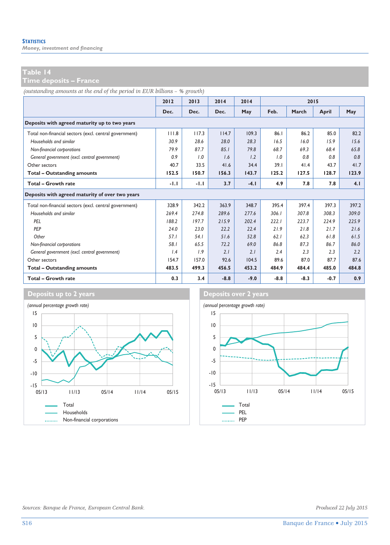*Money, investment and financing* 

**Time deposits – France** 

*(outstanding amounts at the end of the period in EUR billions – % growth)*

|                                                        | 2012   | 2013   | 2014   | 2014   |        | 2015   |        |       |
|--------------------------------------------------------|--------|--------|--------|--------|--------|--------|--------|-------|
|                                                        | Dec.   | Dec.   | Dec.   | May    | Feb.   | March  | April  | May   |
| Deposits with agreed maturity up to two years          |        |        |        |        |        |        |        |       |
| Total non-financial sectors (excl. central government) | 111.8  | 117.3  | 114.7  | 109.3  | 86.1   | 86.2   | 85.0   | 82.2  |
| Households and similar                                 | 30.9   | 28.6   | 28.0   | 28.3   | 16.5   | 16.0   | 15.9   | 15.6  |
| Non-financial corporations                             | 79.9   | 87.7   | 85.1   | 79.8   | 68.7   | 69.3   | 68.4   | 65.8  |
| General government (excl. central government)          | 0.9    | 1.0    | 1.6    | 1.2    | 1.0    | 0.8    | 0.8    | 0.8   |
| Other sectors                                          | 40.7   | 33.5   | 41.6   | 34.4   | 39.1   | 41.4   | 43.7   | 41.7  |
| <b>Total - Outstanding amounts</b>                     | 152.5  | 150.7  | 156.3  | 143.7  | 125.2  | 127.5  | 128.7  | 123.9 |
| Total - Growth rate                                    | $-1.1$ | $-1.1$ | 3.7    | $-4.1$ | 4.9    | 7.8    | 7.8    | 4.1   |
| Deposits with agreed maturity of over two years        |        |        |        |        |        |        |        |       |
| Total non-financial sectors (excl. central government) | 328.9  | 342.2  | 363.9  | 348.7  | 395.4  | 3974   | 397.3  | 397.2 |
| Households and similar                                 | 269.4  | 274.8  | 289.6  | 277.6  | 306.1  | 307.8  | 308.3  | 309.0 |
| PFI                                                    | 188.2  | 197.7  | 215.9  | 202.4  | 222.1  | 223.7  | 224.9  | 225.9 |
| PEP                                                    | 24.0   | 23.0   | 22.2   | 22.4   | 21.9   | 21.8   | 21.7   | 21.6  |
| Other                                                  | 57.1   | 54.1   | 51.6   | 52.8   | 62.1   | 62.3   | 61.8   | 61.5  |
| Non-financial corporations                             | 58.1   | 65.5   | 72.2   | 69.0   | 86.8   | 87.3   | 86.7   | 86.0  |
| General government (excl. central government)          | 1.4    | 1.9    | 2.1    | 2.1    | 2.4    | 2.3    | 2.3    | 2.2   |
| Other sectors                                          | 154.7  | 157.0  | 92.6   | 104.5  | 89.6   | 87.0   | 87.7   | 87.6  |
| <b>Total - Outstanding amounts</b>                     | 483.5  | 499.3  | 456.5  | 453.2  | 484.9  | 484.4  | 485.0  | 484.8 |
| <b>Total - Growth rate</b>                             | 0.3    | 3.4    | $-8.8$ | $-9.0$ | $-8.8$ | $-8.3$ | $-0.7$ | 0.9   |



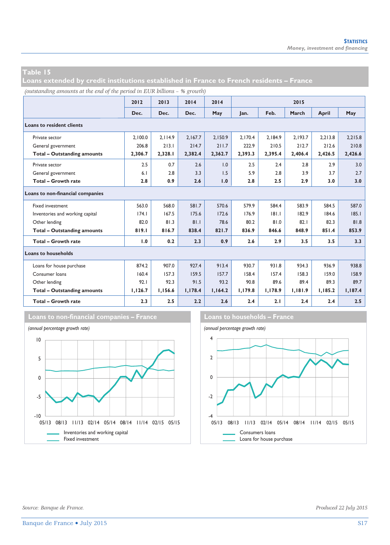**Loans extended by credit institutions established in France to French residents – France** 

*(outstanding amounts at the end of the period in EUR billions – % growth)*

|                                    | 2012    | 2013    | 2014    | 2014    |         |         | 2015    |         |         |
|------------------------------------|---------|---------|---------|---------|---------|---------|---------|---------|---------|
|                                    | Dec.    | Dec.    | Dec.    | May     | lan.    | Feb.    | March   | April   | May     |
| <b>Loans to resident clients</b>   |         |         |         |         |         |         |         |         |         |
| Private sector                     | 2.100.0 | 2.114.9 | 2.167.7 | 2.150.9 | 2.170.4 | 2.184.9 | 2.193.7 | 2.213.8 | 2.215.8 |
| General government                 | 206.8   | 213.1   | 214.7   | 211.7   | 222.9   | 210.5   | 212.7   | 212.6   | 210.8   |
| <b>Total - Outstanding amounts</b> | 2,306.7 | 2,328.1 | 2,382.4 | 2,362.7 | 2,393.3 | 2,395.4 | 2,406.4 | 2,426.5 | 2,426.6 |
| Private sector                     | 2.5     | 0.7     | 2.6     | 1.0     | 2.5     | 2.4     | 2.8     | 2.9     | 3.0     |
| General government                 | 6.1     | 2.8     | 3.3     | 1.5     | 5.9     | 2.8     | 3.9     | 3.7     | 2.7     |
| Total - Growth rate                | 2.8     | 0.9     | 2.6     | 1.0     | 2.8     | 2.5     | 2.9     | 3.0     | 3.0     |
| Loans to non-financial companies   |         |         |         |         |         |         |         |         |         |
| Fixed investment                   | 563.0   | 568.0   | 581.7   | 570.6   | 579.9   | 584.4   | 583.9   | 584.5   | 587.0   |
| Inventories and working capital    | 174.1   | 167.5   | 175.6   | 172.6   | 176.9   | 181.1   | 182.9   | 184.6   | 185.1   |
| Other lending                      | 82.0    | 81.3    | 81.1    | 78.6    | 80.2    | 81.0    | 82.1    | 82.3    | 81.8    |
| <b>Total - Outstanding amounts</b> | 819.1   | 816.7   | 838.4   | 821.7   | 836.9   | 846.6   | 848.9   | 851.4   | 853.9   |
| <b>Total - Growth rate</b>         | 1.0     | 0.2     | 2.3     | 0.9     | 2.6     | 2.9     | 3.5     | 3.5     | 3.3     |
| <b>Loans to households</b>         |         |         |         |         |         |         |         |         |         |
| Loans for house purchase           | 874.2   | 907.0   | 927.4   | 913.4   | 930.7   | 931.8   | 934.3   | 936.9   | 938.8   |
| Consumer loans                     | 160.4   | 157.3   | 159.5   | 157.7   | 158.4   | 157.4   | 158.3   | 159.0   | 158.9   |
| Other lending                      | 92.1    | 92.3    | 91.5    | 93.2    | 90.8    | 89.6    | 89.4    | 89.3    | 89.7    |
| <b>Total - Outstanding amounts</b> | 1,126.7 | 1,156.6 | 1,178.4 | 1,164.2 | 1,179.8 | 1,178.9 | 1,181.9 | 1,185.2 | 1,187.4 |
| Total - Growth rate                | 2.3     | 2.5     | 2.2     | 2.6     | 2.4     | 2.1     | 2.4     | 2.4     | 2.5     |







*Source: Banque de France. Produced 22 July 2015*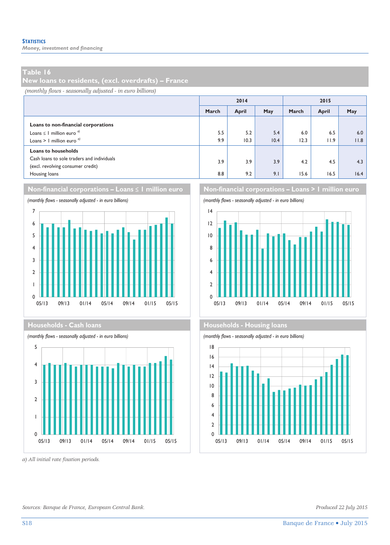*Money, investment and financing* 

#### **Table 16**

**New loans to residents, (excl. overdrafts) – France** 

*(monthly flows - seasonally adjusted - in euro billions)*

|                                                                                                                                |            | 2014         |             | 2015        |             |             |  |
|--------------------------------------------------------------------------------------------------------------------------------|------------|--------------|-------------|-------------|-------------|-------------|--|
|                                                                                                                                | March      | <b>April</b> | May         | March       | April       | May         |  |
| Loans to non-financial corporations<br>Loans $\leq$ 1 million euro <sup><math>a</math></sup><br>Loans > 1 million euro $q$     | 5.5<br>9.9 | 5.2<br>10.3  | 5.4<br>10.4 | 6.0<br>12.3 | 6.5<br>11.9 | 6.0<br>11.8 |  |
| <b>Loans to households</b><br>Cash loans to sole traders and individuals<br>(excl. revolving consumer credit)<br>Housing loans | 3.9<br>8.8 | 3.9<br>9.2   | 3.9<br>9.1  | 4.2<br>15.6 | 4.5<br>16.5 | 4.3<br>16.4 |  |







*a) All initial rate fixation periods.* 



#### **Households - Cash loans Households - Cash loans**

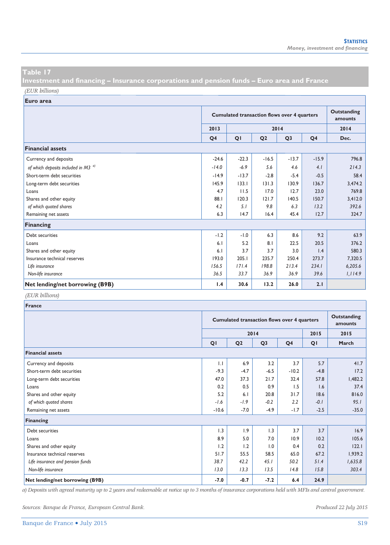**Investment and financing – Insurance corporations and pension funds – Euro area and France**  *(EUR billions)*

**Euro area**

|                                                |                | <b>Cumulated transaction flows over 4 quarters</b> |                |                |                |         |  |  |
|------------------------------------------------|----------------|----------------------------------------------------|----------------|----------------|----------------|---------|--|--|
|                                                | 2013           | 2014                                               |                |                |                |         |  |  |
|                                                | Q <sub>4</sub> | QI                                                 | Q <sub>2</sub> | Q <sub>3</sub> | Q <sub>4</sub> | Dec.    |  |  |
| <b>Financial assets</b>                        |                |                                                    |                |                |                |         |  |  |
| Currency and deposits                          | $-24.6$        | $-22.3$                                            | $-16.5$        | $-13.7$        | $-15.9$        | 796.8   |  |  |
| of which deposits included in M3 <sup>a)</sup> | $-14.0$        | $-6.9$                                             | 5.6            | 4.6            | 4.1            | 214.3   |  |  |
| Short-term debt securities                     | $-14.9$        | $-13.7$                                            | $-2.8$         | $-5.4$         | $-0.5$         | 58.4    |  |  |
| Long-term debt securities                      | 145.9          | 133.1                                              | 131.3          | 130.9          | 136.7          | 3,474.2 |  |  |
| Loans                                          | 4.7            | 11.5                                               | 17.0           | 12.7           | 23.0           | 769.8   |  |  |
| Shares and other equity                        | 88.1           | 120.3                                              | 121.7          | 140.5          | 150.7          | 3,412.0 |  |  |
| of which quoted shares                         | 4.2            | 5.1                                                | 9.8            | 6.3            | 13.2           | 392.6   |  |  |
| Remaining net assets                           | 6.3            | 14.7                                               | 16.4           | 45.4           | 12.7           | 324.7   |  |  |
| <b>Financing</b>                               |                |                                                    |                |                |                |         |  |  |
| Debt securities                                | $-1.2$         | $-1.0$                                             | 6.3            | 8.6            | 9.2            | 63.9    |  |  |
| Loans                                          | 6.1            | 5.2                                                | 8.1            | 22.5           | 20.5           | 376.2   |  |  |
| Shares and other equity                        | 6.1            | 3.7                                                | 3.7            | 3.0            | 1.4            | 580.3   |  |  |
| Insurance technical reserves                   | 193.0          | 205.1                                              | 235.7          | 250.4          | 273.7          | 7,320.5 |  |  |
| Life insurance                                 | 156.5          | 171.4                                              | 198.8          | 213.4          | 234.1          | 6,205.6 |  |  |
| Non-life insurance                             | 36.5           | 33.7                                               | 36.9           | 36.9           | 39.6           | 1,114.9 |  |  |
| Net lending/net borrowing (B9B)                | 1.4            | 30.6                                               | 13.2           | 26.0           | 2.1            |         |  |  |

#### *(EUR billions)*

| France                           |         |                                                    |                |                |        |         |  |  |  |
|----------------------------------|---------|----------------------------------------------------|----------------|----------------|--------|---------|--|--|--|
|                                  |         | <b>Cumulated transaction flows over 4 quarters</b> |                |                |        |         |  |  |  |
|                                  |         |                                                    | 2014           |                | 2015   | 2015    |  |  |  |
|                                  | QI      | Q <sub>2</sub>                                     | Q <sub>3</sub> | Q <sub>4</sub> | QI     | March   |  |  |  |
| <b>Financial assets</b>          |         |                                                    |                |                |        |         |  |  |  |
| Currency and deposits            | 1.1     | 6.9                                                | 3.2            | 3.7            | 5.7    | 41.7    |  |  |  |
| Short-term debt securities       | $-9.3$  | $-4.7$                                             | $-6.5$         | $-10.2$        | $-4.8$ | 17.2    |  |  |  |
| Long-term debt securities        | 47.0    | 37.3                                               | 21.7           | 32.4           | 57.8   | 1,482.2 |  |  |  |
| Loans                            | 0.2     | 0.5                                                | 0.9            | 1.5            | 1.6    | 37.4    |  |  |  |
| Shares and other equity          | 5.2     | 6.1                                                | 20.8           | 31.7           | 18.6   | 816.0   |  |  |  |
| of which quoted shares           | $-1.6$  | $-1.9$                                             | $-0.2$         | 2.2            | $-0.1$ | 95.1    |  |  |  |
| Remaining net assets             | $-10.6$ | $-7.0$                                             | $-4.9$         | $-1.7$         | $-2.5$ | $-35.0$ |  |  |  |
| Financing                        |         |                                                    |                |                |        |         |  |  |  |
| Debt securities                  | 1.3     | 1.9                                                | 1.3            | 3.7            | 3.7    | 16.9    |  |  |  |
| Loans                            | 8.9     | 5.0                                                | 7.0            | 10.9           | 10.2   | 105.6   |  |  |  |
| Shares and other equity          | 1.2     | 1.2                                                | 1.0            | 0.4            | 0.2    | 122.1   |  |  |  |
| Insurance technical reserves     | 51.7    | 55.5                                               | 58.5           | 65.0           | 67.2   | 1,939.2 |  |  |  |
| Life insurance and pension funds | 38.7    | 42.2                                               | 45.1           | 50.2           | 51.4   | 1,635.8 |  |  |  |
| Non-life insurance               | 13.0    | 13.3                                               | 13.5           | 14.8           | 15.8   | 303.4   |  |  |  |
| Net lending/net borrowing (B9B)  | $-7.0$  | $-0.7$                                             | $-7.2$         | 6.4            | 24.9   |         |  |  |  |

*a) Deposits with agreed maturity up to 2 years and redeemable at notice up to 3 months of insurance corporations held with MFIs and central government.* 

*Sources: Banque de France, European Central Bank. Produced 22 July 2015*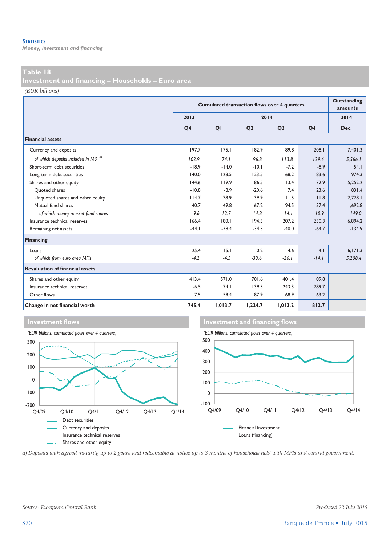*Money, investment and financing* 

#### **Table 18**

**Investment and financing – Households – Euro area** 

*(EUR billions)*

|                                                |                | <b>Cumulated transaction flows over 4 quarters</b> | Outstanding<br>amounts |                |                |          |
|------------------------------------------------|----------------|----------------------------------------------------|------------------------|----------------|----------------|----------|
|                                                | 2013           |                                                    |                        | 2014           |                | 2014     |
|                                                | O <sub>4</sub> | QI                                                 | Q <sub>2</sub>         | Q <sub>3</sub> | Q <sub>4</sub> | Dec.     |
| <b>Financial assets</b>                        |                |                                                    |                        |                |                |          |
| Currency and deposits                          | 197.7          | 175.1                                              | 182.9                  | 189.8          | 208.1          | 7,401.3  |
| of which deposits included in M3 <sup>a)</sup> | 102.9          | 74.1                                               | 96.8                   | 113.8          | 139.4          | 5,566.1  |
| Short-term debt securities                     | $-18.9$        | $-14.0$                                            | $-10.1$                | $-7.2$         | $-8.9$         | 54.1     |
| Long-term debt securities                      | $-140.0$       | $-128.5$                                           | $-123.5$               | $-168.2$       | $-183.6$       | 974.3    |
| Shares and other equity                        | 144.6          | 119.9                                              | 86.5                   | 113.4          | 172.9          | 5.252.2  |
| Ouoted shares                                  | $-10.8$        | $-8.9$                                             | $-20.6$                | 7.4            | 23.6           | 831.4    |
| Unquoted shares and other equity               | 114.7          | 78.9                                               | 39.9                   | 11.5           | 11.8           | 2.728.1  |
| Mutual fund shares                             | 40.7           | 49.8                                               | 67.2                   | 94.5           | 137.4          | 1.692.8  |
| of which money market fund shares              | $-9.6$         | $-12.7$                                            | $-14.8$                | $-14.1$        | $-10.9$        | 149.0    |
| Insurance technical reserves                   | 166.4          | 180.1                                              | 194.3                  | 207.2          | 230.3          | 6,894.2  |
| Remaining net assets                           | $-44.1$        | $-38.4$                                            | $-34.5$                | $-40.0$        | $-64.7$        | $-134.9$ |
| Financing                                      |                |                                                    |                        |                |                |          |
| Loans                                          | $-25.4$        | $-15.1$                                            | $-0.2$                 | $-4.6$         | 4.1            | 6,171.3  |
| of which from euro area MFIs                   | $-4.2$         | $-4.5$                                             | $-33.6$                | $-26.1$        | $-14.1$        | 5,208.4  |
| <b>Revaluation of financial assets</b>         |                |                                                    |                        |                |                |          |
| Shares and other equity                        | 413.4          | 571.0                                              | 701.6                  | 401.4          | 109.8          |          |
| Insurance technical reserves                   | $-6.5$         | 74.1                                               | 139.5                  | 243.3          | 289.7          |          |
| Other flows                                    | 7.5            | 59.4                                               | 87.9                   | 68.9           | 63.2           |          |
| Change in net financial worth                  | 745.4          | 1,013.7                                            | 1,224.7                | 1,013.2        | 812.7          |          |



*a) Deposits with agreed maturity up to 2 years and redeemable at notice up to 3 months of households held with MFIs and central government.*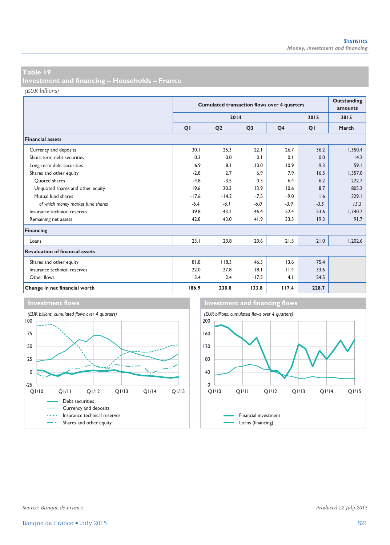**Investment and financing – Households – France** 

*(EUR billions)*

|                                        |         | <b>Cumulated transaction flows over 4 quarters</b> | <b>Outstanding</b><br>amounts |                |        |         |
|----------------------------------------|---------|----------------------------------------------------|-------------------------------|----------------|--------|---------|
|                                        |         |                                                    | 2014                          |                | 2015   | 2015    |
|                                        | QI      | Q <sub>2</sub>                                     | Q <sub>3</sub>                | Q <sub>4</sub> | QI     | March   |
| <b>Financial assets</b>                |         |                                                    |                               |                |        |         |
| Currency and deposits                  | 30.1    | 25.3                                               | 22.1                          | 26.7           | 36.2   | 1,350.4 |
| Short-term debt securities             | $-0.3$  | 0.0                                                | $-0.1$                        | 0.1            | 0.0    | 14.2    |
| Long-term debt securities              | $-6.9$  | $-8.1$                                             | $-10.0$                       | $-10.9$        | $-9.3$ | 59.1    |
| Shares and other equity                | $-2.8$  | 2.7                                                | 6.9                           | 7.9            | 16.5   | 1,357.0 |
| Ouoted shares                          | $-4.8$  | $-3.5$                                             | 0.5                           | 6.4            | 6.2    | 222.7   |
| Unquoted shares and other equity       | 19.6    | 20.3                                               | 13.9                          | 10.6           | 8.7    | 805.2   |
| Mutual fund shares                     | $-17.6$ | $-14.2$                                            | $-7.5$                        | $-9.0$         | 1.6    | 329.1   |
| of which money market fund shares      | $-6.4$  | $-6.1$                                             | $-6.0$                        | $-3.9$         | $-3.5$ | 15.3    |
| Insurance technical reserves           | 39.8    | 43.2                                               | 46.4                          | 52.4           | 53.6   | 1,740.7 |
| Remaining net assets                   | 42.8    | 43.0                                               | 41.9                          | 33.5           | 19.3   | 91.7    |
| Financing                              |         |                                                    |                               |                |        |         |
| Loans                                  | 23.1    | 23.8                                               | 20.6                          | 21.5           | 21.0   | 1,202.6 |
| <b>Revaluation of financial assets</b> |         |                                                    |                               |                |        |         |
| Shares and other equity                | 81.8    | 118.3                                              | 46.5                          | 13.6           | 75.4   |         |
| Insurance technical reserves           | 22.0    | 27.8                                               | 8.1                           | 11.4           | 33.6   |         |
| Other flows                            | 3.4     | 2.4                                                | $-17.5$                       | 4.1            | 24.5   |         |
| Change in net financial worth          | 186.9   | 230.8                                              | 133.8                         | 117.4          | 228.7  |         |



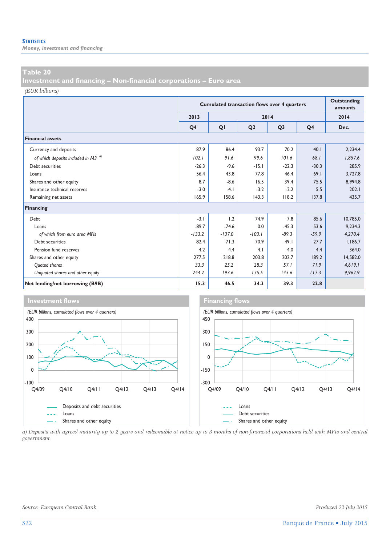*Money, investment and financing* 

#### **Table 20**

**Investment and financing – Non-financial corporations – Euro area** 

*(EUR billions)*

|                                         |                | <b>Cumulated transaction flows over 4 quarters</b> | Outstanding<br>amounts |                |                |          |
|-----------------------------------------|----------------|----------------------------------------------------|------------------------|----------------|----------------|----------|
|                                         | 2013           |                                                    |                        | 2014           |                | 2014     |
|                                         | Q <sub>4</sub> | QI                                                 | Q <sub>2</sub>         | Q <sub>3</sub> | Q <sub>4</sub> | Dec.     |
| <b>Financial assets</b>                 |                |                                                    |                        |                |                |          |
| Currency and deposits                   | 87.9           | 86.4                                               | 93.7                   | 70.2           | 40.1           | 2,234.4  |
| of which deposits included in M3 $^{0}$ | 102.1          | 91.6                                               | 99.6                   | 101.6          | 68.I           | 1,857.6  |
| Debt securities                         | $-26.3$        | $-9.6$                                             | $-15.1$                | $-22.3$        | $-30.3$        | 285.9    |
| Loans                                   | 56.4           | 43.8                                               | 77.8                   | 46.4           | 69.1           | 3.727.8  |
| Shares and other equity                 | 8.7            | $-8.6$                                             | 16.5                   | 39.4           | 75.5           | 8.994.8  |
| Insurance technical reserves            | $-3.0$         | $-4.1$                                             | $-3.2$                 | $-2.2$         | 5.5            | 202.1    |
| Remaining net assets                    | 165.9          | 158.6                                              | 143.3                  | 118.2          | 137.8          | 435.7    |
| Financing                               |                |                                                    |                        |                |                |          |
| Debt                                    | $-3.1$         | 1.2                                                | 74.9                   | 7.8            | 85.6           | 10,785.0 |
| Loans                                   | $-89.7$        | $-74.6$                                            | 0.0                    | $-45.3$        | 53.6           | 9.234.3  |
| of which from euro area MFIs            | $-133.2$       | $-137.0$                                           | $-103.1$               | $-89.3$        | $-59.9$        | 4,270.4  |
| Debt securities                         | 82.4           | 71.3                                               | 70.9                   | 49.1           | 27.7           | 1.186.7  |
| Pension fund reserves                   | 4.2            | 4.4                                                | 4.1                    | 4.0            | 4.4            | 364.0    |
| Shares and other equity                 | 277.5          | 218.8                                              | 203.8                  | 202.7          | 189.2          | 14,582.0 |
| Quoted shares                           | 33.3           | 25.2                                               | 28.3                   | 57.1           | 71.9           | 4,619.1  |
| Unquoted shares and other equity        | 244.2          | 193.6                                              | 175.5                  | 145.6          | 117.3          | 9,962.9  |
| Net lending/net borrowing (B9B)         | 15.3           | 46.5                                               | 34.3                   | 39.3           | 22.8           |          |



*a) Deposits with agreed maturity up to 2 years and redeemable at notice up to 3 months of non-financial corporations held with MFIs and central government.*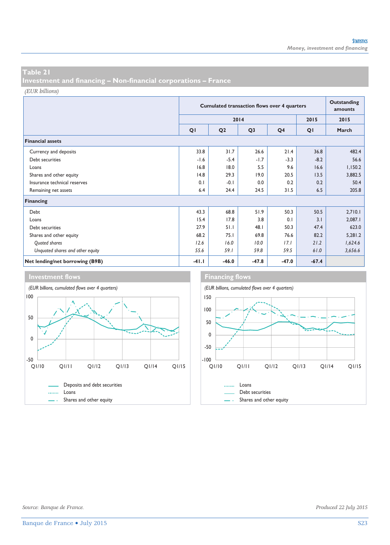**Investment and financing – Non-financial corporations – France** 

*(EUR billions)*

|                                  | <b>Cumulated transaction flows over 4 quarters</b> |                |                |                |         | Outstanding<br>amounts |
|----------------------------------|----------------------------------------------------|----------------|----------------|----------------|---------|------------------------|
|                                  |                                                    |                | 2014           |                | 2015    | 2015                   |
|                                  | QI                                                 | Q <sub>2</sub> | Q <sub>3</sub> | Q <sub>4</sub> | QI      | March                  |
| <b>Financial assets</b>          |                                                    |                |                |                |         |                        |
| Currency and deposits            | 33.8                                               | 31.7           | 26.6           | 21.4           | 36.8    | 482.4                  |
| Debt securities                  | $-1.6$                                             | $-5.4$         | $-1.7$         | $-3.3$         | $-8.2$  | 56.6                   |
| Loans                            | 16.8                                               | 18.0           | 5.5            | 9.6            | 16.6    | 1,150.2                |
| Shares and other equity          | 14.8                                               | 29.3           | 19.0           | 20.5           | 13.5    | 3,882.5                |
| Insurance technical reserves     | 0.1                                                | $-0.1$         | 0.0            | 0.2            | 0.2     | 50.4                   |
| Remaining net assets             | 6.4                                                | 24.4           | 24.5           | 31.5           | 6.5     | 205.8                  |
| Financing                        |                                                    |                |                |                |         |                        |
| Debt                             | 43.3                                               | 68.8           | 51.9           | 50.3           | 50.5    | 2,710.1                |
| Loans                            | 15.4                                               | 17.8           | 3.8            | 0.1            | 3.1     | 2,087.1                |
| Debt securities                  | 27.9                                               | 51.1           | 48.1           | 50.3           | 47.4    | 623.0                  |
| Shares and other equity          | 68.2                                               | 75.1           | 69.8           | 76.6           | 82.2    | 5,281.2                |
| Quoted shares                    | 12.6                                               | 16.0           | 10.0           | 17.1           | 21.2    | 1,624.6                |
| Unquoted shares and other equity | 55.6                                               | 59.1           | 59.8           | 59.5           | 61.0    | 3,656.6                |
| Net lending/net borrowing (B9B)  | $-41.1$                                            | $-46.0$        | $-47.8$        | $-47.0$        | $-67.4$ |                        |

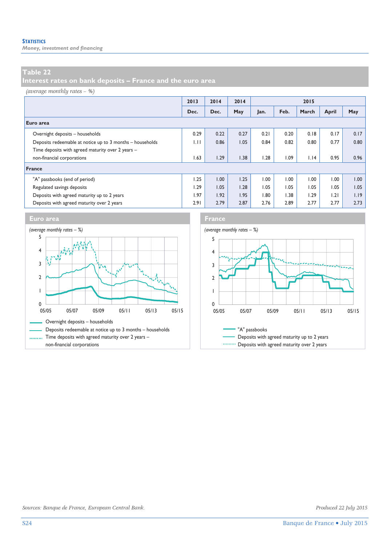*Money, investment and financing* 

#### **Table 22**

**Interest rates on bank deposits – France and the euro area** 

#### *(average monthly rates – %)*

|                                                           | 2013 | 2014 | 2014 |      |      | 2015  |       |      |
|-----------------------------------------------------------|------|------|------|------|------|-------|-------|------|
|                                                           | Dec. | Dec. | May  | Jan. | Feb. | March | April | May  |
| Euro area                                                 |      |      |      |      |      |       |       |      |
| Overnight deposits - households                           | 0.29 | 0.22 | 0.27 | 0.21 | 0.20 | 0.18  | 0.17  | 0.17 |
| Deposits redeemable at notice up to 3 months - households | 1.11 | 0.86 | 1.05 | 0.84 | 0.82 | 0.80  | 0.77  | 0.80 |
| Time deposits with agreed maturity over 2 years -         |      |      |      |      |      |       |       |      |
| non-financial corporations                                | 1.63 | 1.29 | 1.38 | .28  | 1.09 | 1.14  | 0.95  | 0.96 |
| France                                                    |      |      |      |      |      |       |       |      |
| "A" passbooks (end of period)                             | 1.25 | 1.00 | 1.25 | 1.00 | 00.1 | 00.1  | 00.1  | 1.00 |
| Regulated savings deposits                                | 1.29 | 1.05 | 1.28 | 1.05 | 1.05 | 1.05  | 1.05  | 1.05 |
| Deposits with agreed maturity up to 2 years               | 1.97 | 1.92 | 1.95 | 1.80 | 1.38 | 1.29  | 1.21  | 1.19 |
| Deposits with agreed maturity over 2 years                | 2.91 | 2.79 | 2.87 | 2.76 | 2.89 | 2.77  | 2.77  | 2.73 |





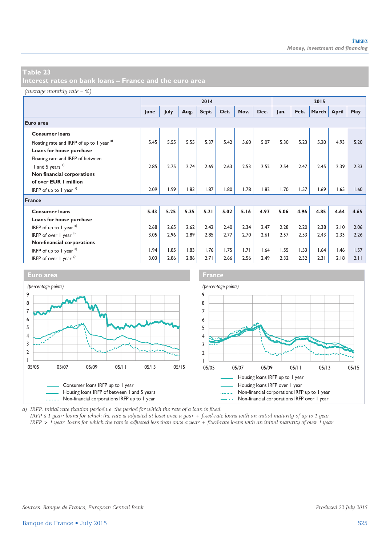*(average monthly rate – %)*

|                                               |      |      |      | 2014  |      |      |      |      |      | 2015  |       |      |
|-----------------------------------------------|------|------|------|-------|------|------|------|------|------|-------|-------|------|
|                                               | June | July | Aug. | Sept. | Oct. | Nov. | Dec. | Jan. | Feb. | March | April | May  |
| Euro area                                     |      |      |      |       |      |      |      |      |      |       |       |      |
| <b>Consumer loans</b>                         |      |      |      |       |      |      |      |      |      |       |       |      |
| Floating rate and IRFP of up to 1 year a)     | 5.45 | 5.55 | 5.55 | 5.37  | 5.42 | 5.60 | 5.07 | 5.30 | 5.23 | 5.20  | 4.93  | 5.20 |
| Loans for house purchase                      |      |      |      |       |      |      |      |      |      |       |       |      |
| Floating rate and IRFP of between             |      |      |      |       |      |      |      |      |      |       |       |      |
| 1 and 5 years $a$ )                           | 2.85 | 2.75 | 2.74 | 2.69  | 2.63 | 2.53 | 2.52 | 2.54 | 2.47 | 2.45  | 2.39  | 2.33 |
| Non financial corporations                    |      |      |      |       |      |      |      |      |      |       |       |      |
| of over EUR   million                         |      |      |      |       |      |      |      |      |      |       |       |      |
| IRFP of up to 1 year $a^{(1)}$                | 2.09 | 1.99 | 1.83 | 1.87  | 1.80 | 1.78 | 1.82 | 1.70 | 1.57 | 1.69  | 1.65  | 1.60 |
| France                                        |      |      |      |       |      |      |      |      |      |       |       |      |
| <b>Consumer loans</b>                         | 5.43 | 5.25 | 5.35 | 5.21  | 5.02 | 5.16 | 4.97 | 5.06 | 4.96 | 4.85  | 4.64  | 4.65 |
| Loans for house purchase                      |      |      |      |       |      |      |      |      |      |       |       |      |
| IRFP of up to 1 year $a$ )                    | 2.68 | 2.65 | 2.62 | 2.42  | 2.40 | 2.34 | 2.47 | 2.28 | 2.20 | 2.38  | 2.10  | 2.06 |
| IRFP of over $1$ year $a^{(1)}$               | 3.05 | 2.96 | 2.89 | 2.85  | 2.77 | 2.70 | 2.61 | 2.57 | 2.53 | 2.43  | 2.33  | 2.26 |
| Non-financial corporations                    |      |      |      |       |      |      |      |      |      |       |       |      |
| IRFP of up to 1 year $a^{(1)}$                | 1.94 | 1.85 | 1.83 | 1.76  | 1.75 | 1.71 | 1.64 | 1.55 | 1.53 | 1.64  | 1.46  | 1.57 |
| IRFP of over $\frac{1}{2}$ year $\frac{a}{2}$ | 3.03 | 2.86 | 2.86 | 2.71  | 2.66 | 2.56 | 2.49 | 2.32 | 2.32 | 2.31  | 2.18  | 2.11 |



*a) IRFP: initial rate fixation period i.e. the period for which the rate of a loan is fixed.* 

*IRFP ≤ 1 year: loans for which the rate is adjusted at least once a year + fixed-rate loans with an initial maturity of up to 1 year. IRFP > 1 year: loans for which the rate is adjusted less than once a year + fixed-rate loans with an initial maturity of over 1 year.*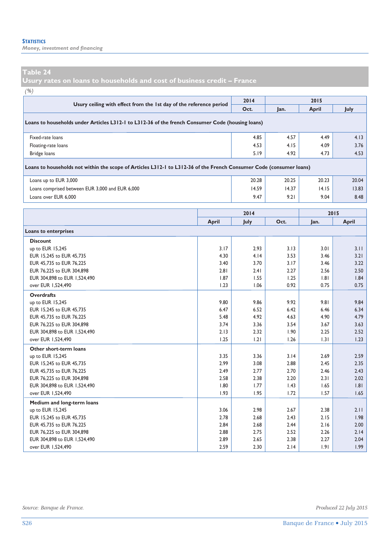*Money, investment and financing* 

**Usury rates on loans to households and cost of business credit – France** 

*(%)*

| $\%$ )                                                                                                              |       |       |       |              |       |  |  |  |
|---------------------------------------------------------------------------------------------------------------------|-------|-------|-------|--------------|-------|--|--|--|
| Usury ceiling with effect from the 1st day of the reference period                                                  |       | 2014  |       | 2015         |       |  |  |  |
|                                                                                                                     |       | Oct.  | Jan.  | <b>April</b> | July  |  |  |  |
| Loans to households under Articles L312-1 to L312-36 of the french Consumer Code (housing loans)                    |       |       |       |              |       |  |  |  |
| Fixed-rate loans                                                                                                    |       | 4.85  | 4.57  | 4.49         | 4.13  |  |  |  |
| Floating-rate loans                                                                                                 |       | 4.53  | 4.15  | 4.09         | 3.76  |  |  |  |
| Bridge loans                                                                                                        |       | 5.19  | 4.92  | 4.73         | 4.53  |  |  |  |
| Loans to households not within the scope of Articles L312-1 to L312-36 of the French Consumer Code (consumer loans) |       |       |       |              |       |  |  |  |
| Loans up to EUR 3,000                                                                                               | 20.28 | 20.25 | 20.23 | 20.04        |       |  |  |  |
| Loans comprised between EUR 3,000 and EUR 6,000                                                                     | 14.59 | 14.37 | 14.15 | 13.83        |       |  |  |  |
| Loans over EUR 6,000                                                                                                |       | 9.47  | 9.21  | 9.04         | 8.48  |  |  |  |
|                                                                                                                     |       |       |       |              |       |  |  |  |
|                                                                                                                     |       |       |       |              |       |  |  |  |
|                                                                                                                     |       | 2014  |       |              | 2015  |  |  |  |
|                                                                                                                     | April | July  | Oct.  | Jan.         | April |  |  |  |
| Loans to enterprises                                                                                                |       |       |       |              |       |  |  |  |
| <b>Discount</b>                                                                                                     |       |       |       |              |       |  |  |  |
| up to EUR 15,245                                                                                                    | 3.17  | 2.93  | 3.13  | 3.01         | 3.11  |  |  |  |
| EUR 15,245 to EUR 45,735                                                                                            | 4.30  | 4.14  | 3.53  | 3.46         | 3.21  |  |  |  |
| EUR 45,735 to EUR 76,225                                                                                            | 3.40  | 3.70  | 3.17  | 3.46         | 3.22  |  |  |  |
| EUR 76,225 to EUR 304,898                                                                                           | 2.81  | 2.41  | 2.27  | 2.56         | 2.50  |  |  |  |
| EUR 304,898 to EUR 1,524,490                                                                                        | 1.87  | 1.55  | 1.25  | 1.81         | 1.84  |  |  |  |
| over EUR 1,524,490                                                                                                  | 1.23  | 1.06  | 0.92  | 0.75         | 0.75  |  |  |  |
| <b>Overdrafts</b>                                                                                                   |       |       |       |              |       |  |  |  |
| up to EUR 15,245                                                                                                    | 9.80  | 9.86  | 9.92  | 9.81         | 9.84  |  |  |  |
| EUR 15,245 to EUR 45,735                                                                                            | 6.47  | 6.52  | 6.42  | 6.46         | 6.34  |  |  |  |
| EUR 45,735 to EUR 76,225                                                                                            | 5.48  | 4.92  | 4.63  | 4.90         | 4.79  |  |  |  |

| LUN TJ. IJJ LU LUN TO. ZZJ   | J.TO | 7. Z 4 | כס.ד | 7. ZV | 7.77 |
|------------------------------|------|--------|------|-------|------|
| EUR 76,225 to EUR 304,898    | 3.74 | 3.36   | 3.54 | 3.67  | 3.63 |
| EUR 304,898 to EUR 1,524,490 | 2.13 | 2.32   | 1.90 | 2.25  | 2.52 |
| over EUR 1,524,490           | 1.25 | 1.21   | 1.26 | 1.31  | 1.23 |
| Other short-term loans       |      |        |      |       |      |
| up to EUR 15,245             | 3.35 | 3.36   | 3.14 | 2.69  | 2.59 |
| EUR 15.245 to EUR 45.735     | 2.99 | 3.08   | 2.88 | 2.45  | 2.35 |
| EUR 45,735 to EUR 76,225     | 2.49 | 2.77   | 2.70 | 2.46  | 2.43 |
| EUR 76,225 to EUR 304,898    | 2.58 | 2.38   | 2.20 | 2.31  | 2.02 |
| EUR 304,898 to EUR 1,524,490 | 1.80 | 1.77   | 1.43 | 1.65  | 1.81 |
| over EUR 1,524,490           | 1.93 | 1.95   | 1.72 | 1.57  | 1.65 |
| Medium and long-term loans   |      |        |      |       |      |
| up to EUR 15,245             | 3.06 | 2.98   | 2.67 | 2.38  | 2.11 |
| EUR 15,245 to EUR 45,735     | 2.78 | 2.68   | 2.43 | 2.15  | 1.98 |
| EUR 45,735 to EUR 76,225     | 2.84 | 2.68   | 2.44 | 2.16  | 2.00 |
| EUR 76,225 to EUR 304,898    | 2.88 | 2.75   | 2.52 | 2.26  | 2.14 |
| EUR 304,898 to EUR 1,524,490 | 2.89 | 2.65   | 2.38 | 2.27  | 2.04 |
| over EUR 1,524,490           | 2.59 | 2.30   | 2.14 | 1.91  | 1.99 |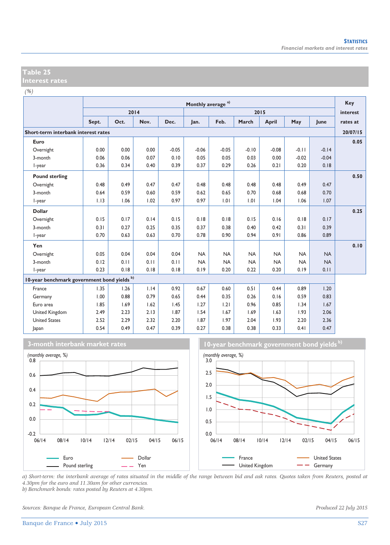| ٧<br>. . |  |
|----------|--|

|                                             |       | Monthly average <sup>a)</sup> |      |         |           |           |           |           |           |           |          |
|---------------------------------------------|-------|-------------------------------|------|---------|-----------|-----------|-----------|-----------|-----------|-----------|----------|
|                                             |       |                               | 2014 |         |           |           |           | 2015      |           |           | interest |
|                                             | Sept. | Oct.                          | Nov. | Dec.    | Jan.      | Feb.      | March     | April     | May       | June      | rates at |
| Short-term interbank interest rates         |       |                               |      |         |           |           |           |           |           |           | 20/07/15 |
| Euro                                        |       |                               |      |         |           |           |           |           |           |           | 0.05     |
| Overnight                                   | 0.00  | 0.00                          | 0.00 | $-0.05$ | $-0.06$   | $-0.05$   | $-0.10$   | $-0.08$   | $-0.11$   | $-0.14$   |          |
| 3-month                                     | 0.06  | 0.06                          | 0.07 | 0.10    | 0.05      | 0.05      | 0.03      | 0.00      | $-0.02$   | $-0.04$   |          |
| I-year                                      | 0.36  | 0.34                          | 0.40 | 0.39    | 0.37      | 0.29      | 0.26      | 0.21      | 0.20      | 0.18      |          |
| <b>Pound sterling</b>                       |       |                               |      |         |           |           |           |           |           |           | 0.50     |
| Overnight                                   | 0.48  | 0.49                          | 0.47 | 0.47    | 0.48      | 0.48      | 0.48      | 0.48      | 0.49      | 0.47      |          |
| 3-month                                     | 0.64  | 0.59                          | 0.60 | 0.59    | 0.62      | 0.65      | 0.70      | 0.68      | 0.68      | 0.70      |          |
| I-year                                      | 1.13  | 1.06                          | 1.02 | 0.97    | 0.97      | 1.01      | 1.01      | 1.04      | 1.06      | 1.07      |          |
| <b>Dollar</b>                               |       |                               |      |         |           |           |           |           |           |           | 0.25     |
| Overnight                                   | 0.15  | 0.17                          | 0.14 | 0.15    | 0.18      | 0.18      | 0.15      | 0.16      | 0.18      | 0.17      |          |
| 3-month                                     | 0.31  | 0.27                          | 0.25 | 0.35    | 0.37      | 0.38      | 0.40      | 0.42      | 0.31      | 0.39      |          |
| I-year                                      | 0.70  | 0.63                          | 0.63 | 0.70    | 0.78      | 0.90      | 0.94      | 0.91      | 0.86      | 0.89      |          |
| Yen                                         |       |                               |      |         |           |           |           |           |           |           | 0.10     |
| Overnight                                   | 0.05  | 0.04                          | 0.04 | 0.04    | <b>NA</b> | <b>NA</b> | <b>NA</b> | <b>NA</b> | <b>NA</b> | <b>NA</b> |          |
| 3-month                                     | 0.12  | 0.11                          | 0.11 | 0.11    | <b>NA</b> | <b>NA</b> | <b>NA</b> | <b>NA</b> | <b>NA</b> | <b>NA</b> |          |
| l-year                                      | 0.23  | 0.18                          | 0.18 | 0.18    | 0.19      | 0.20      | 0.22      | 0.20      | 0.19      | 0.11      |          |
| 10-year benchmark government bond yields b) |       |                               |      |         |           |           |           |           |           |           |          |
| France                                      | 1.35  | 1.26                          | 1.14 | 0.92    | 0.67      | 0.60      | 0.51      | 0.44      | 0.89      | 1.20      |          |
| Germany                                     | 1.00  | 0.88                          | 0.79 | 0.65    | 0.44      | 0.35      | 0.26      | 0.16      | 0.59      | 0.83      |          |
| Euro area                                   | 1.85  | 1.69                          | 1.62 | 1.45    | 1.27      | 1.21      | 0.96      | 0.85      | 1.34      | 1.67      |          |
| United Kingdom                              | 2.49  | 2.23                          | 2.13 | 1.87    | 1.54      | 1.67      | 1.69      | 1.63      | 1.93      | 2.06      |          |
| <b>United States</b>                        | 2.52  | 2.29                          | 2.32 | 2.20    | 1.87      | 1.97      | 2.04      | 1.93      | 2.20      | 2.36      |          |
| Japan                                       | 0.54  | 0.49                          | 0.47 | 0.39    | 0.27      | 0.38      | 0.38      | 0.33      | 0.41      | 0.47      |          |







*a) Short-term: the interbank average of rates situated in the middle of the range between bid and ask rates. Quotes taken from Reuters, posted at 4.30pm for the euro and 11.30am for other currencies. b) Benchmark bonds: rates posted by Reuters at 4.30pm.* 

*Sources: Banque de France, European Central Bank. Produced 22 July 2015*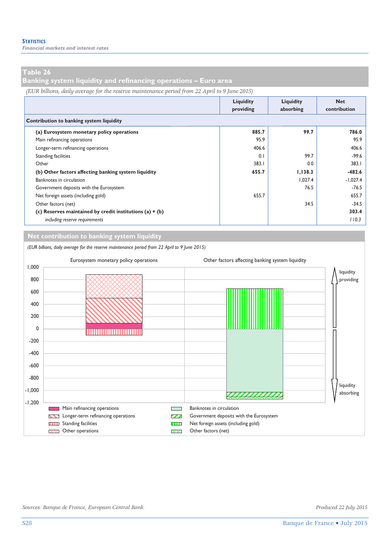**Banking system liquidity and refinancing operations – Euro area** 

*(EUR billions, daily average for the reserve maintenance period from 22 April to 9 June 2015)*

|                                                            | Liquidity<br>providing | Liquidity<br>absorbing | <b>Net</b><br>contribution |  |
|------------------------------------------------------------|------------------------|------------------------|----------------------------|--|
| Contribution to banking system liquidity                   |                        |                        |                            |  |
| (a) Eurosystem monetary policy operations                  | 885.7                  | 99.7                   | 786.0                      |  |
| Main refinancing operations                                | 95.9                   |                        | 95.9                       |  |
| Longer-term refinancing operations                         | 406.6                  |                        | 406.6                      |  |
| <b>Standing facilities</b>                                 | 0.1                    | 99.7                   | -99.6                      |  |
| Other                                                      | 383.1                  | 0.0                    | 383.1                      |  |
| (b) Other factors affecting banking system liquidity       | 655.7                  | 1,138.3                | $-482.6$                   |  |
| Banknotes in circulation                                   |                        | 1.027.4                | $-1,027.4$                 |  |
| Government deposits with the Eurosystem                    |                        | 76.5                   | -76.5                      |  |
| Net foreign assets (including gold)                        | 655.7                  |                        | 655.7                      |  |
| Other factors (net)                                        |                        | 34.5                   | $-34.5$                    |  |
| (c) Reserves maintained by credit institutions (a) $+$ (b) |                        |                        | 303.4                      |  |
| including reserve requirements                             |                        |                        | 110.3                      |  |

#### **Net contribution to banking system liquidity**

*(EUR billions, daily average for the reserve maintenance period from 22 April to 9 June 2015)*

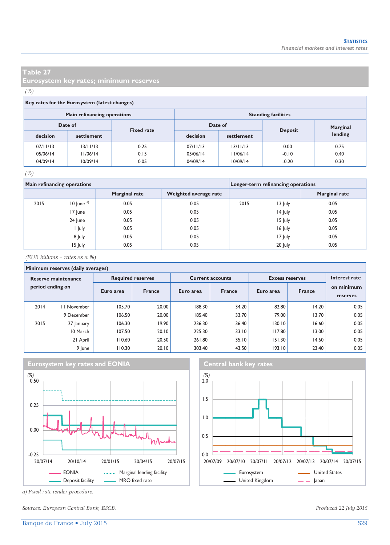**Eurosystem key rates; minimum reserves** 

#### *(%)*

#### **Key rates for the Eurosystem (latest changes)**

|          | Main refinancing operations |                   | <b>Standing facilities</b> |            |                |          |  |  |
|----------|-----------------------------|-------------------|----------------------------|------------|----------------|----------|--|--|
| Date of  |                             | <b>Fixed rate</b> | Date of                    |            |                | Marginal |  |  |
| decision | settlement                  |                   | decision                   | settlement | <b>Deposit</b> | lending  |  |  |
| 07/11/13 | 13/11/13                    | 0.25              | 07/11/13                   | 13/11/13   | 0.00           | 0.75     |  |  |
| 05/06/14 | 11/06/14                    | 0.15              | 05/06/14                   | 11/06/14   | $-0.10$        | 0.40     |  |  |
| 04/09/14 | 10/09/14                    | 0.05              | 04/09/14                   | 10/09/14   | $-0.20$        | 0.30     |  |  |

#### *(%)*

|      | Main refinancing operations |                      | Longer-term refinancing operations |      |         |                      |
|------|-----------------------------|----------------------|------------------------------------|------|---------|----------------------|
|      |                             | <b>Marginal rate</b> | Weighted average rate              |      |         | <b>Marginal rate</b> |
| 2015 | $10$ June $a)$              | 0.05                 | 0.05                               | 2015 | 13 July | 0.05                 |
|      | 17 June                     | 0.05                 | 0.05                               |      | 14 July | 0.05                 |
|      | 24 June                     | 0.05                 | 0.05                               |      | 15 July | 0.05                 |
|      | l July                      | 0.05                 | 0.05                               |      | 16 July | 0.05                 |
|      | 8 July                      | 0.05                 | 0.05                               |      | 17 July | 0.05                 |
|      | 15 July                     | 0.05                 | 0.05                               |      | 20 July | 0.05                 |

*(EUR billions – rates as a %)*

#### **Minimum reserves (daily averages)**

|                                         | .  . wow. . wo ,  ,     . |                          |               |           |                         |                        |               |                        |  |  |  |  |  |
|-----------------------------------------|---------------------------|--------------------------|---------------|-----------|-------------------------|------------------------|---------------|------------------------|--|--|--|--|--|
| Reserve maintenance<br>period ending on |                           | <b>Required reserves</b> |               |           | <b>Current accounts</b> | <b>Excess reserves</b> | Interest rate |                        |  |  |  |  |  |
|                                         |                           | Euro area                | <b>France</b> | Euro area | <b>France</b>           | Euro area              | <b>France</b> | on minimum<br>reserves |  |  |  |  |  |
| 2014                                    | 11 November               | 105.70                   | 20.00         | 188.30    | 34.20                   | 82.80                  | 14.20         | 0.05                   |  |  |  |  |  |
|                                         | 9 December                | 106.50                   | 20.00         | 185.40    | 33.70                   | 79.00                  | 13.70         | 0.05                   |  |  |  |  |  |
| 2015                                    | 27 January                | 106.30                   | 19.90         | 236.30    | 36.40                   | 130.10                 | 16.60         | 0.05                   |  |  |  |  |  |
|                                         | 10 March                  | 107.50                   | 20.10         | 225.30    | 33.10                   | 117.80                 | 13.00         | 0.05                   |  |  |  |  |  |
|                                         | 21 April                  | 110.60                   | 20.50         | 261.80    | 35.10                   | 151.30                 | 14.60         | 0.05                   |  |  |  |  |  |
|                                         | 9 June                    | 110.30                   | 20.10         | 303.40    | 43.50                   | 193.10                 | 23.40         | 0.05                   |  |  |  |  |  |







*a) Fixed rate tender procedure.* 

*Sources: European Central Bank, ESCB. Produced 22 July 2015*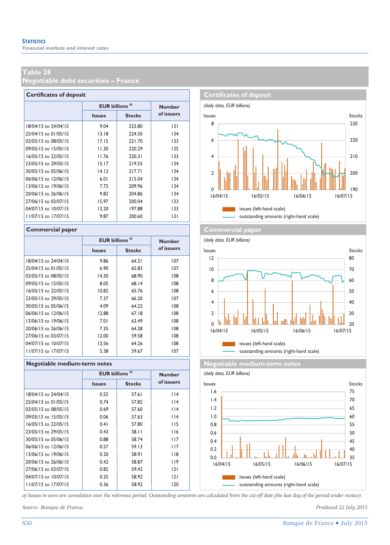**Negotiable debt securities – France** 

|                      | <b>Certificates of deposit</b>   |               |               |  |  |  |  |  |  |  |  |  |
|----------------------|----------------------------------|---------------|---------------|--|--|--|--|--|--|--|--|--|
|                      | <b>EUR billions<sup>a)</sup></b> |               | <b>Number</b> |  |  |  |  |  |  |  |  |  |
|                      | <b>Issues</b>                    | <b>Stocks</b> | of issuers    |  |  |  |  |  |  |  |  |  |
| 18/04/15 to 24/04/15 | 9.04                             | 223.80        | 131           |  |  |  |  |  |  |  |  |  |
| 25/04/15 to 01/05/15 | 13.18                            | 224.50        | 134           |  |  |  |  |  |  |  |  |  |
| 02/05/15 to 08/05/15 | 17.15                            | 221.70        | 133           |  |  |  |  |  |  |  |  |  |
| 09/05/15 to 15/05/15 | 11.30                            | 220.29        | 135           |  |  |  |  |  |  |  |  |  |
| 16/05/15 to 22/05/15 | 11.76                            | 220.31        | 133           |  |  |  |  |  |  |  |  |  |
| 23/05/15 to 29/05/15 | 15.17                            | 219.55        | 134           |  |  |  |  |  |  |  |  |  |
| 30/05/15 to 05/06/15 | 14.12                            | 217.71        | 134           |  |  |  |  |  |  |  |  |  |
| 06/06/15 to 12/06/15 | 6.01                             | 215.04        | 134           |  |  |  |  |  |  |  |  |  |
| 13/06/15 to 19/06/15 | 7.72                             | 209.96        | 134           |  |  |  |  |  |  |  |  |  |
| 20/06/15 to 26/06/15 | 9.82                             | 204.86        | 134           |  |  |  |  |  |  |  |  |  |
| 27/06/15 to 03/07/15 | 15.97                            | 200.04        | 133           |  |  |  |  |  |  |  |  |  |
| 04/07/15 to 10/07/15 | 12.20                            | 197.88        | 133           |  |  |  |  |  |  |  |  |  |
| 11/07/15 to 17/07/15 | 9.87                             | 200.60        | 3             |  |  |  |  |  |  |  |  |  |

|                      |               | <b>EUR billions<sup>a)</sup></b> |            |  |  |  |  |  |
|----------------------|---------------|----------------------------------|------------|--|--|--|--|--|
|                      | <b>Issues</b> | <b>Stocks</b>                    | of issuers |  |  |  |  |  |
| 18/04/15 to 24/04/15 | 9.86          | 64.21                            | 107        |  |  |  |  |  |
| 25/04/15 to 01/05/15 | 6.90          | 65.83                            | 107        |  |  |  |  |  |
| 02/05/15 to 08/05/15 | 14.30         | 68.90                            | 108        |  |  |  |  |  |
| 09/05/15 to 15/05/15 | 8.05          | 68.14                            | 108        |  |  |  |  |  |
| 16/05/15 to 22/05/15 | 10.82         | 65.76                            | 108        |  |  |  |  |  |
| 23/05/15 to 29/05/15 | 7.37          | 66.20                            | 107        |  |  |  |  |  |
| 30/05/15 to 05/06/15 | 4.09          | 64.22                            | 108        |  |  |  |  |  |
| 06/06/15 to 12/06/15 | 12.88         | 6718                             | 108        |  |  |  |  |  |
| 13/06/15 to 19/06/15 | 7.01          | 63.49                            | 108        |  |  |  |  |  |
| 20/06/15 to 26/06/15 | 7.35          | 64.28                            | 108        |  |  |  |  |  |
| 27/06/15 to 03/07/15 | 12.00         | 59.58                            | 108        |  |  |  |  |  |
| 04/07/15 to 10/07/15 | 12.56         | 64.26                            | 108        |  |  |  |  |  |
| 11/07/15 to 17/07/15 | 5.38          | 59.67                            | 107        |  |  |  |  |  |

|                      | <b>EUR</b> billions <sup>a)</sup> |               | <b>Number</b> |  |  |  |  |  |  |  |  |  |
|----------------------|-----------------------------------|---------------|---------------|--|--|--|--|--|--|--|--|--|
|                      | <b>Issues</b>                     | <b>Stocks</b> | of issuers    |  |  |  |  |  |  |  |  |  |
| 18/04/15 to 24/04/15 | 0.55                              | 57.61         | 114           |  |  |  |  |  |  |  |  |  |
| 25/04/15 to 01/05/15 | 0.74                              | 57.82         | 114           |  |  |  |  |  |  |  |  |  |
| 02/05/15 to 08/05/15 | 0.69                              | 57.60         | 114           |  |  |  |  |  |  |  |  |  |
| 09/05/15 to 15/05/15 | 0.06                              | 57.63         | 114           |  |  |  |  |  |  |  |  |  |
| 16/05/15 to 22/05/15 | 0.41                              | 57.80         | 115           |  |  |  |  |  |  |  |  |  |
| 23/05/15 to 29/05/15 | 0.43                              | 58.11         | 116           |  |  |  |  |  |  |  |  |  |
| 30/05/15 to 05/06/15 | 0.88                              | 58.74         | 117           |  |  |  |  |  |  |  |  |  |
| 06/06/15 to 12/06/15 | 0.57                              | 59.13         | 117           |  |  |  |  |  |  |  |  |  |
| 13/06/15 to 19/06/15 | 0.20                              | 58.91         | 118           |  |  |  |  |  |  |  |  |  |
| 20/06/15 to 26/06/15 | 0.42                              | 58.87         | 119           |  |  |  |  |  |  |  |  |  |
| 27/06/15 to 03/07/15 | 0.82                              | 59.42         | 2             |  |  |  |  |  |  |  |  |  |
| 04/07/15 to 10/07/15 | 0.25                              | 58.92         | 2             |  |  |  |  |  |  |  |  |  |
| 11/07/15 to 17/07/15 | 0.36                              | 58.92         | 120           |  |  |  |  |  |  |  |  |  |
|                      |                                   |               |               |  |  |  |  |  |  |  |  |  |



#### **Commercial paper Commercial paper Commercial paper**

*(daily data, EUR billions)* **Issues Stocks** Stocks Issues Stocks Stocks Stocks Issues Stocks Stocks issues (left-hand scale) outstanding amounts (right-hand scale) ∐Ш<br>16/07/15 30 40 50 60 70 80 0 |<u>| |||</u><br>16/04/15  $\overline{2}$ 4 6 8 10 12 16/04/15 16/05/15 16/06/15 16/07/15

**Regotiable medium-term notes Negotiable medium-term notes** 





*a) Issues in euro are cumulative over the reference period. Outstanding amounts are calculated from the cut-off date (the last day of the period under review).* 

*Source: Banque de France. Produced 22 July 2015*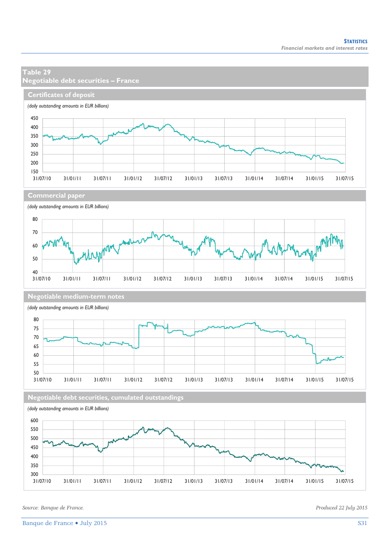

*Source: Banque de France. Produced 22 July 2015*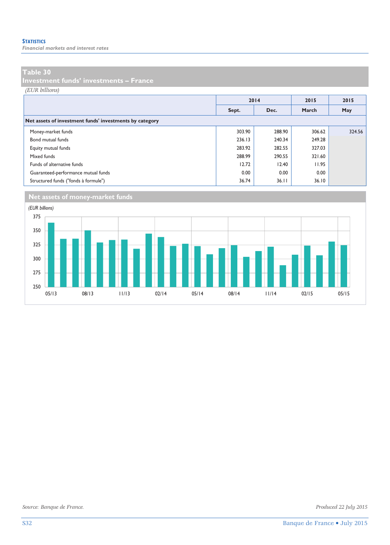*Financial markets and interest rates* 

#### **Table 30**

**Investment funds' investments – France** 

*(EUR billions)*

|                                                         |               | 2014   | 2015   | 2015   |
|---------------------------------------------------------|---------------|--------|--------|--------|
|                                                         | Dec.<br>Sept. |        | March  | May    |
| Net assets of investment funds' investments by category |               |        |        |        |
| Money-market funds                                      | 303.90        | 288.90 | 306.62 | 324.56 |
| Bond mutual funds                                       | 236.13        | 240.34 | 249.28 |        |
| Equity mutual funds                                     | 283.92        | 282.55 | 327.03 |        |
| Mixed funds                                             | 288.99        | 290.55 | 321.60 |        |
| Funds of alternative funds                              | 12.72         | 12.40  | 11.95  |        |
| Guaranteed-performance mutual funds                     | 0.00          | 0.00   | 0.00   |        |
| Structured funds ("fonds à formule")                    | 36.74         | 36.11  | 36.10  |        |

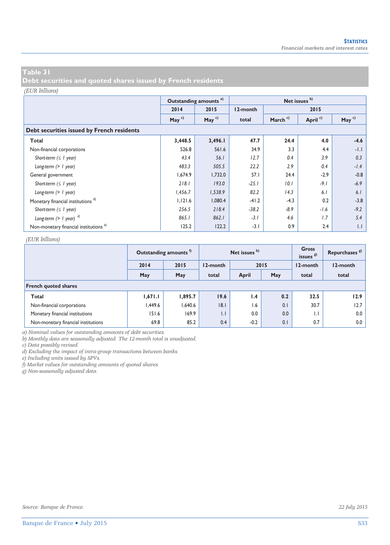**Debt securities and quoted shares issued by French residents** 

#### *(EUR billions)*

|                                                   |          | Outstanding amounts <sup>a)</sup> | Net issues b) |                     |                     |          |  |  |  |  |  |  |
|---------------------------------------------------|----------|-----------------------------------|---------------|---------------------|---------------------|----------|--|--|--|--|--|--|
|                                                   | 2014     | 2015                              | 12-month      |                     | 2015                |          |  |  |  |  |  |  |
|                                                   | May $c)$ | May $c)$                          | total         | March <sup>c)</sup> | April <sup>c)</sup> | May $c)$ |  |  |  |  |  |  |
| Debt securities issued by French residents        |          |                                   |               |                     |                     |          |  |  |  |  |  |  |
| Total                                             | 3,448.5  | 3,496.1                           | 47.7          | 24.4                | 4.0                 | $-4.6$   |  |  |  |  |  |  |
| Non-financial corporations                        | 526.8    | 561.6                             | 34.9          | 3.3                 | 4.4                 | $-1.1$   |  |  |  |  |  |  |
| Short-term $( \leq l$ year)                       | 43.4     | 56.1                              | 12.7          | 0.4                 | 3.9                 | 0.3      |  |  |  |  |  |  |
| Long-term $(> 1$ year)                            | 483.3    | 505.5                             | 22.2          | 2.9                 | 0.4                 | $-1.4$   |  |  |  |  |  |  |
| General government                                | 1,674.9  | 1,732.0                           | 57.1          | 24.4                | $-2.9$              | $-0.8$   |  |  |  |  |  |  |
| Short-term $( \leq l$ year)                       | 218.1    | 193.0                             | $-25.1$       | 10.1                | $-9.1$              | $-6.9$   |  |  |  |  |  |  |
| Long-term $(> 1$ year)                            | 1,456.7  | 1,538.9                           | 82.2          | 14.3                | 6.1                 | 6.1      |  |  |  |  |  |  |
| Monetary financial institutions <sup>d)</sup>     | 1,121.6  | 1,080.4                           | $-41.2$       | $-4.3$              | 0.2                 | $-3.8$   |  |  |  |  |  |  |
| Short-term $( \leq l$ year)                       | 256.5    | 218.4                             | $-38.2$       | $-8.9$              | $-1.6$              | $-9.2$   |  |  |  |  |  |  |
| Long-term $(> 1$ year) $^{d)}$                    | 865.1    | 862.1                             | $-3.1$        | 4.6                 | 1.7                 | 5.4      |  |  |  |  |  |  |
| Non-monetary financial institutions <sup>e)</sup> | 125.2    | 122.2                             | $-3.1$        | 0.9                 | 2.4                 | 1.1      |  |  |  |  |  |  |

#### *(EUR billions)*

|                                     |         | Outstanding amounts <sup>1</sup> |              | Net issues b) |      | Gross<br>issues <sup>g)</sup> | Repurchases <sup>8</sup> |
|-------------------------------------|---------|----------------------------------|--------------|---------------|------|-------------------------------|--------------------------|
|                                     | 2014    | 2015                             | 12-month     |               | 2015 | 12-month                      | 12-month                 |
|                                     | May     | May                              | total        | April         | May  | total                         | total                    |
| <b>French quoted shares</b>         |         |                                  |              |               |      |                               |                          |
| Total                               | 1,671.1 | 1,895.7                          | 19.6         | 1.4           | 0.2  | 32.5                          | 12.9                     |
| Non-financial corporations          | 1,449.6 | 1,640.6                          | 8.1          | 1.6           | 0.1  | 30.7                          | 12.7                     |
| Monetary financial institutions     | 151.6   | 169.9                            | $\mathsf{L}$ | 0.0           | 0.0  | $\mathsf{L}$                  | 0.0                      |
| Non-monetary financial institutions | 69.8    | 85.2                             | 0.4          | $-0.2$        | 0.1  | 0.7                           | 0.0                      |

*a) Nominal values for outstanding amounts of debt securities.* 

*b) Monthly data are seasonally adjusted. The 12-month total is unadjusted.* 

*c) Data possibly revised.* 

*d) Excluding the impact of intra-group transactions between banks.* 

*e) Including units issued by SPVs.* 

*f) Market values for outstanding amounts of quoted shares.* 

*g) Non-seasonally adjusted data.*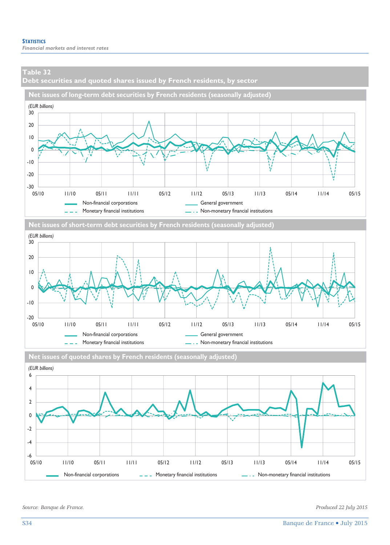**Debt securities and quoted shares issued by French residents, by sector** 









**Net issues of quoted shares by French residents (seasonally adjusted)**

*Source: Banque de France. Produced 22 July 2015*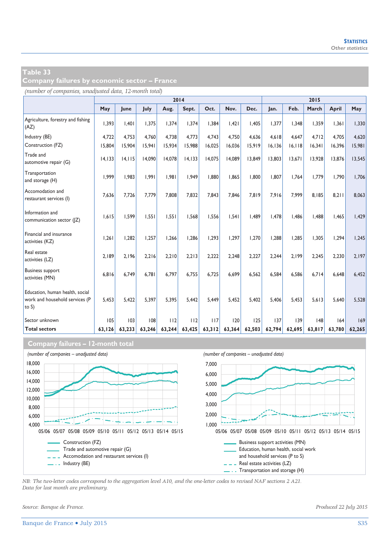**Company failures by economic sector – France** 

*(number of companies, unadjusted data, 12-month total)*

|                                                                               |         |         |        |        | 2014    |        |        |        |         |         | 2015   |        |        |
|-------------------------------------------------------------------------------|---------|---------|--------|--------|---------|--------|--------|--------|---------|---------|--------|--------|--------|
|                                                                               | May     | June    | July   | Aug.   | Sept.   | Oct.   | Nov.   | Dec.   | Jan.    | Feb.    | March  | April  | May    |
| Agriculture, forestry and fishing<br>(AZ)                                     | 1,393   | 1.401   | 1.375  | 1.374  | 1,374   | 1,384  | 1.421  | 1.405  | 1.377   | 1,348   | 1.359  | 1,361  | 1,330  |
| Industry (BE)                                                                 | 4,722   | 4,753   | 4.760  | 4,738  | 4,773   | 4.743  | 4,750  | 4,636  | 4,618   | 4,647   | 4.712  | 4,705  | 4,620  |
| Construction (FZ)                                                             | 15,804  | 15,904  | 15,941 | 15,934 | 15,988  | 16,025 | 16,036 | 15,919 | 16, 136 | 16, 118 | 16,341 | 16,396 | 15,981 |
| Trade and<br>automotive repair (G)                                            | 14, 133 | 14, 115 | 14.090 | 14,078 | 14, 133 | 14,075 | 14,089 | 13,849 | 13,803  | 13,671  | 13,928 | 13,876 | 13,545 |
| Transportation<br>and storage (H)                                             | 1.999   | 1.983   | 1,991  | 1.981  | 1.949   | 1.880  | 1.865  | 1.800  | 1.807   | 1.764   | 1,779  | 1.790  | 1.706  |
| Accomodation and<br>restaurant services (I)                                   | 7.636   | 7.726   | 7.779  | 7,808  | 7.832   | 7.843  | 7.846  | 7.819  | 7.916   | 7,999   | 8.185  | 8.211  | 8.063  |
| Information and<br>communication sector ( Z)                                  | 1.615   | 1.599   | 1.551  | 1.551  | 1.568   | 1.556  | 1.541  | 1.489  | 1.478   | 1.486   | 1.488  | 1,465  | 1.429  |
| Financial and insurance<br>activities (KZ)                                    | 1,261   | 1.282   | 1.257  | 1.266  | 1.286   | 1.293  | 1.297  | 1,270  | 1.288   | 1.285   | 1.305  | 1,294  | 1,245  |
| Real estate<br>activities (LZ)                                                | 2.189   | 2.196   | 2.216  | 2.210  | 2.213   | 2.222  | 2.248  | 2.227  | 2.244   | 2.199   | 2.245  | 2.230  | 2.197  |
| <b>Business support</b><br>activities (MN)                                    | 6.816   | 6.749   | 6.781  | 6,797  | 6.755   | 6.725  | 6.699  | 6,562  | 6.584   | 6.586   | 6.714  | 6.648  | 6.452  |
| Education, human health, social<br>work and household services (P<br>to $S$ ) | 5.453   | 5.422   | 5.397  | 5.395  | 5.442   | 5.449  | 5.452  | 5.402  | 5.406   | 5.453   | 5.613  | 5.640  | 5.528  |
| Sector unknown                                                                | 105     | 103     | 108    | 112    | 112     | 117    | 120    | 125    | 137     | 139     | 148    | 164    | 169    |
| <b>Total sectors</b>                                                          | 63,126  | 63,233  | 63,246 | 63,244 | 63,425  | 63,312 | 63,364 | 62,503 | 62,794  | 62,695  | 63,817 | 63.780 | 62,265 |

#### **Company failures – 12-month total**



*NB: The two-letter codes correspond to the aggregation level A10, and the one-letter codes to revised NAF sections 2 A21. Data for last month are preliminary.* 

*Source: Banque de France. Produced 22 July 2015*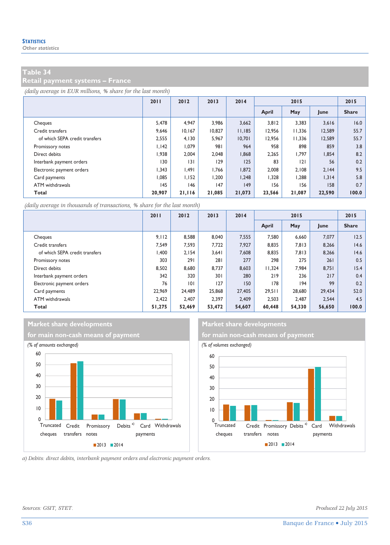**Retail payment systems – France** 

*(daily average in EUR millions, % share for the last month)*

|                                | 2011   | 2012    | 2013   | 2014   | 2015   |        |        | 2015         |
|--------------------------------|--------|---------|--------|--------|--------|--------|--------|--------------|
|                                |        |         |        |        | April  | May    | June   | <b>Share</b> |
| Cheques                        | 5,478  | 4.947   | 3.986  | 3,662  | 3,812  | 3,383  | 3,616  | 16.0         |
| Credit transfers               | 9,646  | 10.167  | 10.827 | 11,185 | 12.956 | 11,336 | 12,589 | 55.7         |
| of which SEPA credit transfers | 2,555  | 4.130   | 5.967  | 10,701 | 12.956 | 11,336 | 12,589 | 55.7         |
| Promissory notes               | 1.142  | 1,079   | 981    | 964    | 958    | 898    | 859    | 3.8          |
| Direct debits                  | 1,938  | 2.004   | 2,048  | 1,868  | 2,265  | 1,797  | 1,854  | 8.2          |
| Interbank payment orders       | 130    | 3       | 129    | 125    | 83     | 2      | 56     | 0.2          |
| Electronic payment orders      | 1.343  | ا 49. ا | 1,766  | 1,872  | 2.008  | 2.108  | 2,144  | 9.5          |
| Card payments                  | 1.085  | 1.152   | 1.200  | 1.248  | 1.328  | 1.288  | 1.314  | 5.8          |
| ATM withdrawals                | 145    | 146     | 147    | 149    | 156    | 156    | 158    | 0.7          |
| Total                          | 20,907 | 21,116  | 21,085 | 21,073 | 23,566 | 21,087 | 22,590 | 100.0        |

*(daily average in thousands of transactions, % share for the last month)*

|                                | 2011   | 2012   | 2013   | 2014   | 2015   |        |        | 2015         |
|--------------------------------|--------|--------|--------|--------|--------|--------|--------|--------------|
|                                |        |        |        |        | April  | May    | June   | <b>Share</b> |
| Cheques                        | 9.112  | 8,588  | 8.040  | 7,555  | 7.580  | 6,660  | 7.077  | 12.5         |
| Credit transfers               | 7.549  | 7.593  | 7.722  | 7.927  | 8,835  | 7,813  | 8,266  | 14.6         |
| of which SEPA credit transfers | .400   | 2.154  | 3.641  | 7.608  | 8.835  | 7,813  | 8,266  | 14.6         |
| Promissory notes               | 303    | 291    | 281    | 277    | 298    | 275    | 261    | 0.5          |
| Direct debits                  | 8.502  | 8,680  | 8.737  | 8,603  | 11.324 | 7.984  | 8,751  | 15.4         |
| Interbank payment orders       | 342    | 320    | 301    | 280    | 219    | 236    | 217    | 0.4          |
| Electronic payment orders      | 76     | 0      | 127    | 150    | 178    | 194    | 99     | 0.2          |
| Card payments                  | 22.969 | 24,489 | 25,868 | 27,405 | 29.511 | 28,680 | 29.434 | 52.0         |
| ATM withdrawals                | 2.422  | 2.407  | 2.397  | 2.409  | 2.503  | 2.487  | 2.544  | 4.5          |
| Total                          | 51.275 | 52,469 | 53,472 | 54,607 | 60.448 | 54,330 | 56,650 | 100.0        |

### **Market share developments** Market share developments





*a) Debits: direct debits, interbank payment orders and electronic payment orders.* 

*Sources: GSIT, STET. Produced 22 July 2015*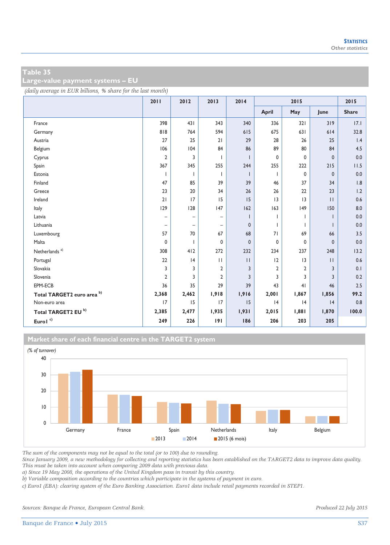**Large-value payment systems – EU** 

*(daily average in EUR billions, % share for the last month)*

|                            | 2011                     | 2012              | 2013                     | 2014         |                | 2015           |              | 2015         |
|----------------------------|--------------------------|-------------------|--------------------------|--------------|----------------|----------------|--------------|--------------|
|                            |                          |                   |                          |              | April          | May            | June         | <b>Share</b> |
| France                     | 398                      | 431               | 343                      | 340          | 336            | 321            | 319          | 17.1         |
| Germany                    | 818                      | 764               | 594                      | 615          | 675            | 631            | 614          | 32.8         |
| Austria                    | 27                       | 25                | 21                       | 29           | 28             | 26             | 25           | 1.4          |
| Belgium                    | 106                      | 104               | 84                       | 86           | 89             | 80             | 84           | 4.5          |
| Cyprus                     | $\overline{2}$           | 3                 | ı                        |              | 0              | 0              | $\mathbf{0}$ | 0.0          |
| Spain                      | 367                      | 345               | 255                      | 244          | 255            | 222            | 215          | 11.5         |
| Estonia                    | $\mathbf{I}$             |                   | T                        |              | $\mathbf{I}$   | 0              | $\mathbf{0}$ | 0.0          |
| Finland                    | 47                       | 85                | 39                       | 39           | 46             | 37             | 34           | 1.8          |
| Greece                     | 23                       | 20                | 34                       | 26           | 26             | 22             | 23           | 1.2          |
| Ireland                    | 21                       | 17                | 15                       | 15           | 3              | 3              | $\mathbf{H}$ | 0.6          |
| Italy                      | 129                      | 128               | 147                      | 162          | 163            | 149            | 150          | 8.0          |
| Latvia                     | $\overline{\phantom{0}}$ | $\qquad \qquad -$ | $\overline{\phantom{0}}$ |              |                |                |              | 0.0          |
| Lithuania                  | $\qquad \qquad -$        | $\qquad \qquad -$ | $\overline{\phantom{0}}$ | $\mathbf{0}$ |                |                |              | 0.0          |
| Luxembourg                 | 57                       | 70                | 67                       | 68           | 71             | 69             | 66           | 3.5          |
| Malta                      | 0                        |                   | 0                        | $\mathbf{0}$ | 0              | 0              | 0            | 0.0          |
| Netherlands <sup>a)</sup>  | 308                      | 412               | 272                      | 232          | 234            | 237            | 248          | $13.2$       |
| Portugal                   | 22                       | 4                 | $\mathbf{H}$             | $\mathbf{H}$ | $ 2\rangle$    | 3              | $\mathbf{H}$ | 0.6          |
| Slovakia                   | 3                        | 3                 | 2                        | 3            | $\overline{2}$ | 2              | 3            | 0.1          |
| Slovenia                   | $\overline{2}$           | 3                 | $\overline{2}$           | 3            | 3              | 3              | 3            | 0.2          |
| EPM-ECB                    | 36                       | 35                | 29                       | 39           | 43             | 4 <sub>1</sub> | 46           | 2.5          |
| Total TARGET2 euro area b) | 2,368                    | 2,462             | 1,918                    | 1,916        | 2,001          | 1,867          | 1,856        | 99.2         |
| Non-euro area              | 17                       | 15                | 17                       | 15           | 4              | 4              | 4            | 0.8          |
| Total TARGET2 EU b)        | 2,385                    | 2,477             | 1,935                    | 1,931        | 2,015          | 1,881          | 1,870        | 100.0        |
| Eurol $^{\circ}$           | 249                      | 226               | 191                      | 186          | 206            | 203            | 205          |              |

**Market share of each financial centre in the TARGET2 system**



*The sum of the components may not be equal to the total (or to 100) due to rounding.* 

*Since January 2009, a new methodology for collecting and reporting statistics has been established on the TARGET2 data to improve data quality. This must be taken into account when comparing 2009 data with previous data.* 

*a) Since 19 May 2008, the operations of the United Kingdom pass in transit by this country.* 

*b) Variable composition according to the countries which participate in the systems of payment in euro.* 

*c) Euro1 (EBA): clearing system of the Euro Banking Association. Euro1 data include retail payments recorded in STEP1.* 

*Sources: Banque de France, European Central Bank. Produced 22 July 2015*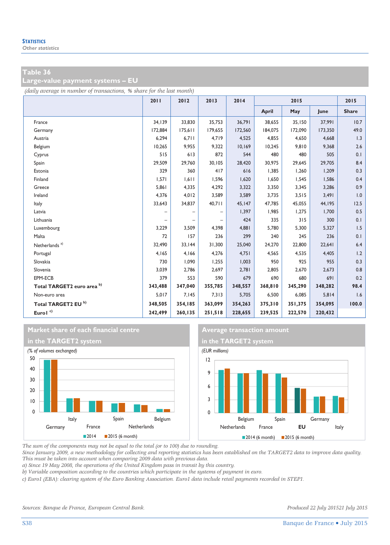**Large-value payment systems – EU** 

*(daily average in number of transactions, % share for the last month)*

|                                | 2011    | 2012    | 2013              | 2014    |         | 2015    |         | 2015         |
|--------------------------------|---------|---------|-------------------|---------|---------|---------|---------|--------------|
|                                |         |         |                   |         | April   | May     | June    | <b>Share</b> |
| France                         | 34,139  | 33,830  | 35,753            | 36,791  | 38,655  | 35,150  | 37,991  | 10.7         |
| Germany                        | 172,884 | 175,611 | 179.655           | 172.560 | 184.075 | 172,090 | 173,350 | 49.0         |
| Austria                        | 6,294   | 6,711   | 4,719             | 4,525   | 4,855   | 4,650   | 4,668   | 1.3          |
| Belgium                        | 10,265  | 9,955   | 9,322             | 10,169  | 10,245  | 9,810   | 9,368   | 2.6          |
| Cyprus                         | 515     | 613     | 872               | 544     | 480     | 480     | 505     | 0.1          |
| Spain                          | 29,509  | 29,760  | 30,105            | 28,420  | 30,975  | 29,645  | 29,705  | 8.4          |
| Estonia                        | 329     | 360     | 417               | 616     | 1,385   | 1,260   | 1,209   | 0.3          |
| Finland                        | 1,571   | 1,611   | 1.596             | 1.620   | 1,650   | 1,545   | 1,586   | 0.4          |
| Greece                         | 5,861   | 4,335   | 4,292             | 3,322   | 3,350   | 3,345   | 3,286   | 0.9          |
| Ireland                        | 4,376   | 4,012   | 3,589             | 3,589   | 3,735   | 3,515   | 3,491   | 1.0          |
| Italy                          | 33,643  | 34,837  | 40,711            | 45,147  | 47.785  | 45,055  | 44,195  | 12.5         |
| Latvia                         |         |         | -                 | 1,397   | 1,985   | 1,275   | 1,700   | 0.5          |
| Lithuania                      |         |         | $\qquad \qquad -$ | 424     | 335     | 315     | 300     | 0.1          |
| Luxembourg                     | 3,229   | 3,509   | 4,398             | 4,881   | 5,780   | 5,300   | 5,327   | 1.5          |
| Malta                          | 72      | 157     | 236               | 299     | 240     | 245     | 236     | 0.1          |
| Netherlands <sup>a)</sup>      | 32,490  | 33,144  | 31,300            | 25,040  | 24,270  | 22,800  | 22,641  | 6.4          |
| Portugal                       | 4,165   | 4,166   | 4,276             | 4,751   | 4,565   | 4,535   | 4,405   | 1.2          |
| Slovakia                       | 730     | 1,090   | 1,255             | 1,003   | 950     | 925     | 955     | 0.3          |
| Slovenia                       | 3,039   | 2,786   | 2,697             | 2,781   | 2,805   | 2,670   | 2,673   | 0.8          |
| EPM-ECB                        | 379     | 553     | 590               | 679     | 690     | 680     | 691     | 0.2          |
| Total TARGET2 euro area b)     | 343,488 | 347,040 | 355,785           | 348,557 | 368,810 | 345,290 | 348,282 | 98.4         |
| Non-euro area                  | 5,017   | 7,145   | 7,313             | 5,705   | 6,500   | 6,085   | 5,814   | 1.6          |
| Total TARGET2 EU <sup>b)</sup> | 348,505 | 354,185 | 363,099           | 354,263 | 375,310 | 351,375 | 354,095 | 100.0        |
| Eurol <sup>c)</sup>            | 242,499 | 260,135 | 251,518           | 228,655 | 239,525 | 222,570 | 220,432 |              |







*The sum of the components may not be equal to the total (or to 100) due to rounding.* 

*Since January 2009, a new methodology for collecting and reporting statistics has been established on the TARGET2 data to improve data quality. This must be taken into account when comparing 2009 data with previous data.* 

*a) Since 19 May 2008, the operations of the United Kingdom pass in transit by this country.* 

*b) Variable composition according to the countries which participate in the systems of payment in euro.* 

*c) Euro1 (EBA): clearing system of the Euro Banking Association. Euro1 data include retail payments recorded in STEP1.*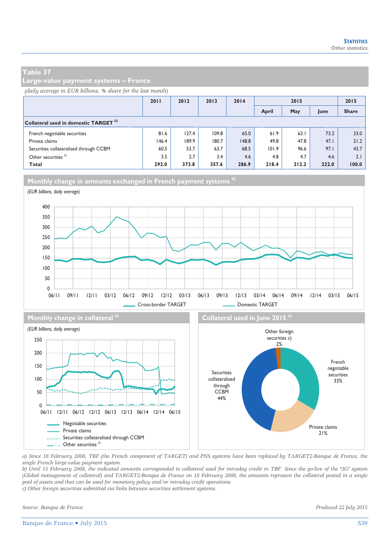**Large-value payment systems – France** 

#### *(daily average in EUR billions, % share for the last month)*

|                                                  | 2011  | 2012  | 2013  | 2014  | 2015  |       |       | 2015         |
|--------------------------------------------------|-------|-------|-------|-------|-------|-------|-------|--------------|
|                                                  |       |       |       |       | April | May   | June  | <b>Share</b> |
| Collateral used in domestic TARGET <sup>b)</sup> |       |       |       |       |       |       |       |              |
| French negotiable securities                     | 81.6  | 127.4 | 109.8 | 65.0  | 61.9  | 63.1  | 73.2  | 33.0         |
| Private claims                                   | 146.4 | 189.9 | 180.7 | 148.8 | 49.8  | 47.8  | 47.1  | 21.2         |
| Securities collateralised through CCBM           | 60.5  | 53.7  | 63.7  | 68.5  | 101.9 | 96.6  | 97.1  | 43.7         |
| Other securities <sup>c)</sup>                   | 3.5   | 2.7   | 3.4   | 4.6   | 4.8   | 4.7   | 4.6   | 2.1          |
| Total                                            | 292.0 | 373.8 | 357.6 | 286.9 | 218.4 | 212.2 | 222.0 | 100.0        |





*a) Since 18 February 2008, TBF (the French component of TARGET) and PNS systems have been replaced by TARGET2-Banque de France, the single French large-value payment system.* 

*b) Until 15 February 2008, the indicated amounts corresponded to collateral used for intraday credit in TBF. Since the go-live of the "3G" system (Global management of collateral) and TARGET2-Banque de France on 18 February 2008, the amounts represent the collateral posted in a single pool of assets and that can be used for monetary policy and/or intraday credit operations.* 

*c) Other foreign securities submitted via links between securities settlement systems.* 

*Source: Banque de France. Produced 22 July 2015* 

Private claims 21%

Negotiable securities Private claims

- . Other securities<sup>c)</sup>

......... Securities collateralised through CCBM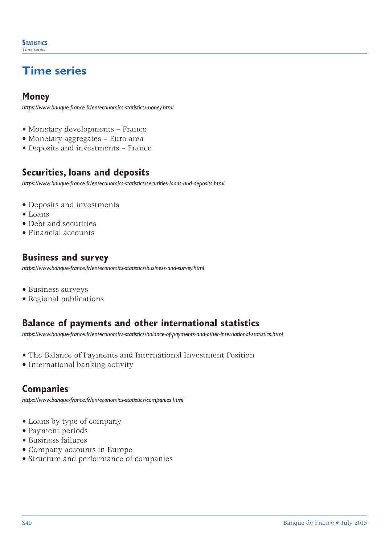# **Time series**

### **Money**

*https://www.banque-france.fr/en/economics-statistics/money.html*

- Monetary developments France
- Monetary aggregates Euro area
- Deposits and investments France

### **Securities, loans and deposits**

*https://www.banque-france.fr/en/economics-statistics/securities-loans-and-deposits.html*

- Deposits and investments
- Loans
- Debt and securities
- Financial accounts

### **Business and survey**

*https://www.banque-france.fr/en/economics-statistics/business-and-survey.html*

- Business surveys
- Regional publications

### **Balance of payments and other international statistics**

*[https://www.banque-france.fr/en/economics-statistics/balance-of-payments-and-other-international-statistics.html](http://www.banque-france.fr/en/economics-statistics/balance-of-payments-and-other-international-statistics.html)*

- The Balance of Payments and International Investment Position
- International banking activity

### **Companies**

*https://www.banque-france.fr/en/economics-statistics/companies.html*

- Loans by type of company
- Payment periods
- Business failures
- Company accounts in Europe
- Structure and performance of companies